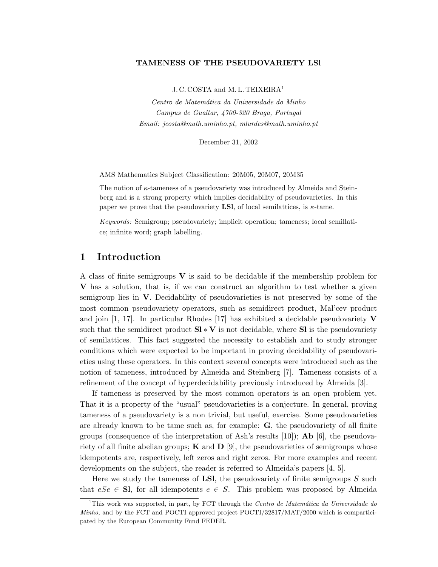### TAMENESS OF THE PSEUDOVARIETY LSl

J. C. COSTA and M. L. TEIXEIRA<sup>1</sup>

Centro de Matemática da Universidade do Minho Campus de Gualtar, 4700-320 Braga, Portugal Email: jcosta@math.uminho.pt, mlurdes@math.uminho.pt

December 31, 2002

AMS Mathematics Subject Classification: 20M05, 20M07, 20M35

The notion of  $\kappa$ -tameness of a pseudovariety was introduced by Almeida and Steinberg and is a strong property which implies decidability of pseudovarieties. In this paper we prove that the pseudovariety LSI, of local semilattices, is  $\kappa$ -tame.

Keywords: Semigroup; pseudovariety; implicit operation; tameness; local semillatice; infinite word; graph labelling.

## 1 Introduction

A class of finite semigroups  $V$  is said to be decidable if the membership problem for V has a solution, that is, if we can construct an algorithm to test whether a given semigroup lies in V. Decidability of pseudovarieties is not preserved by some of the most common pseudovariety operators, such as semidirect product, Mal'cev product and join [1, 17]. In particular Rhodes [17] has exhibited a decidable pseudovariety  $\bf{V}$ such that the semidirect product  $SI * V$  is not decidable, where SI is the pseudovariety of semilattices. This fact suggested the necessity to establish and to study stronger conditions which were expected to be important in proving decidability of pseudovarieties using these operators. In this context several concepts were introduced such as the notion of tameness, introduced by Almeida and Steinberg [7]. Tameness consists of a refinement of the concept of hyperdecidability previously introduced by Almeida [3].

If tameness is preserved by the most common operators is an open problem yet. That it is a property of the "usual" pseudovarieties is a conjecture. In general, proving tameness of a pseudovariety is a non trivial, but useful, exercise. Some pseudovarieties are already known to be tame such as, for example: G, the pseudovariety of all finite groups (consequence of the interpretation of Ash's results [10]); **Ab** [6], the pseudovariety of all finite abelian groups; **K** and **D** [9], the pseudovarieties of semigroups whose idempotents are, respectively, left zeros and right zeros. For more examples and recent developments on the subject, the reader is referred to Almeida's papers [4, 5].

Here we study the tameness of **LSI**, the pseudovariety of finite semigroups  $S$  such that  $eSe \in \mathbf{Sl}$ , for all idempotents  $e \in S$ . This problem was proposed by Almeida

<sup>&</sup>lt;sup>1</sup>This work was supported, in part, by FCT through the *Centro de Matemática da Universidade do* Minho, and by the FCT and POCTI approved project POCTI/32817/MAT/2000 which is comparticipated by the European Community Fund FEDER.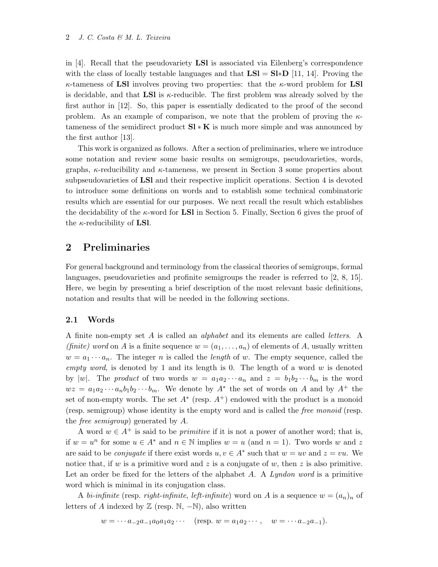in  $[4]$ . Recall that the pseudovariety **LSI** is associated via Eilenberg's correspondence with the class of locally testable languages and that  $LSI = SI*D$  [11, 14]. Proving the  $\kappa$ -tameness of LSI involves proving two properties: that the  $\kappa$ -word problem for LSI is decidable, and that **LSI** is  $\kappa$ -reducible. The first problem was already solved by the first author in [12]. So, this paper is essentially dedicated to the proof of the second problem. As an example of comparison, we note that the problem of proving the  $\kappa$ tameness of the semidirect product  $\mathbf{SI} * \mathbf{K}$  is much more simple and was announced by the first author [13].

This work is organized as follows. After a section of preliminaries, where we introduce some notation and review some basic results on semigroups, pseudovarieties, words, graphs,  $\kappa$ -reducibility and  $\kappa$ -tameness, we present in Section 3 some properties about subpseudovarieties of LSl and their respective implicit operations. Section 4 is devoted to introduce some definitions on words and to establish some technical combinatoric results which are essential for our purposes. We next recall the result which establishes the decidability of the  $\kappa$ -word for **LSI** in Section 5. Finally, Section 6 gives the proof of the  $\kappa$ -reducibility of **LSl**.

## 2 Preliminaries

For general background and terminology from the classical theories of semigroups, formal languages, pseudovarieties and profinite semigroups the reader is referred to [2, 8, 15]. Here, we begin by presenting a brief description of the most relevant basic definitions, notation and results that will be needed in the following sections.

### 2.1 Words

A finite non-empty set A is called an alphabet and its elements are called letters. A *(finite)* word on A is a finite sequence  $w = (a_1, \ldots, a_n)$  of elements of A, usually written  $w = a_1 \cdots a_n$ . The integer n is called the *length* of w. The empty sequence, called the empty word, is denoted by 1 and its length is 0. The length of a word  $w$  is denoted by |w|. The product of two words  $w = a_1 a_2 \cdots a_n$  and  $z = b_1 b_2 \cdots b_m$  is the word  $wz = a_1 a_2 \cdots a_n b_1 b_2 \cdots b_m$ . We denote by  $A^*$  the set of words on A and by  $A^+$  the set of non-empty words. The set  $A^*$  (resp.  $A^+$ ) endowed with the product is a monoid (resp. semigroup) whose identity is the empty word and is called the free monoid (resp. the free semigroup) generated by A.

A word  $w \in A^+$  is said to be *primitive* if it is not a power of another word; that is, if  $w = u^n$  for some  $u \in A^*$  and  $n \in \mathbb{N}$  implies  $w = u$  (and  $n = 1$ ). Two words w and z are said to be *conjugate* if there exist words  $u, v \in A^*$  such that  $w = uv$  and  $z = vu$ . We notice that, if w is a primitive word and z is a conjugate of w, then z is also primitive. Let an order be fixed for the letters of the alphabet  $A$ . A Lyndon word is a primitive word which is minimal in its conjugation class.

A bi-infinite (resp. right-infinite, left-infinite) word on A is a sequence  $w = (a_n)_n$  of letters of A indexed by  $\mathbb{Z}$  (resp. N, -N), also written

$$
w = \cdots a_{-2}a_{-1}a_0a_1a_2\cdots
$$
 (resp.  $w = a_1a_2\cdots$ ,  $w = \cdots a_{-2}a_{-1}$ ).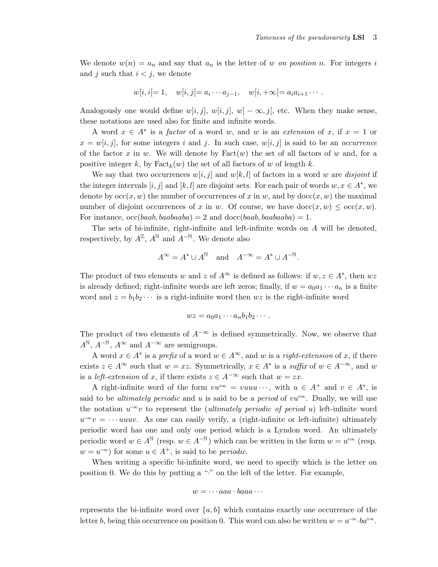We denote  $w(n) = a_n$  and say that  $a_n$  is the letter of w on position n. For integers i and j such that  $i < j$ , we denote

$$
w[i, i]=1, \quad w[i, j]=a_i \cdots a_{j-1}, \quad w[i, +\infty]=a_i a_{i+1} \cdots
$$

Analogously one would define w[i, j], w[i, j], w]  $-\infty$ , j[, etc. When they make sense, these notations are used also for finite and infinite words.

A word  $x \in A^*$  is a *factor* of a word w, and w is an *extension* of x, if  $x = 1$  or  $x = w[i, j]$ , for some integers i and j. In such case,  $w[i, j]$  is said to be an *occurrence* of the factor x in w. We will denote by  $Fact(w)$  the set of all factors of w and, for a positive integer k, by  $Fact_k(w)$  the set of all factors of w of length k.

We say that two occurrences  $w[i, j]$  and  $w[k, l]$  of factors in a word w are disjoint if the integer intervals  $[i, j]$  and  $[k, l]$  are disjoint sets. For each pair of words  $w, x \in A^*$ , we denote by  $\operatorname{occ}(x, w)$  the number of occurrences of x in w, and by  $\operatorname{doc}(x, w)$  the maximal number of disjoint occurrences of x in w. Of course, we have  $\text{doc}(x, w) \leq \text{occ}(x, w)$ . For instance,  $\mathrm{occ}(baab, baabaaba) = 2$  and  $\mathrm{doc}(baab, baabaaba) = 1$ .

The sets of bi-infinite, right-infinite and left-infinite words on  $A$  will be denoted, respectively, by  $A^{\mathbb{Z}}$ ,  $A^{\mathbb{N}}$  and  $A^{-\mathbb{N}}$ . We denote also

$$
A^{\infty} = A^* \cup A^{\mathbb{N}} \quad \text{and} \quad A^{-\infty} = A^* \cup A^{-\mathbb{N}}.
$$

The product of two elements w and z of  $A^{\infty}$  is defined as follows: if  $w, z \in A^*$ , then  $wz$ is already defined; right-infinite words are left zeros; finally, if  $w = a_0a_1 \cdots a_n$  is a finite word and  $z = b_1 b_2 \cdots$  is a right-infinite word then  $wz$  is the right-infinite word

$$
wz = a_0a_1\cdots a_nb_1b_2\cdots.
$$

The product of two elements of  $A^{-\infty}$  is defined symmetrically. Now, we observe that  $A^{\mathbb{N}}, A^{-\mathbb{N}}, A^{\infty}$  and  $A^{-\infty}$  are semigroups.

A word  $x \in A^*$  is a prefix of a word  $w \in A^{\infty}$ , and w is a right-extension of x, if there exists  $z \in A^{\infty}$  such that  $w = xz$ . Symmetrically,  $x \in A^*$  is a suffix of  $w \in A^{-\infty}$ , and w is a *left-extension* of x, if there exists  $z \in A^{-\infty}$  such that  $w = zx$ .

A right-infinite word of the form  $vu^{+\infty} = vuuu \cdots$ , with  $u \in A^+$  and  $v \in A^*$ , is said to be *ultimately periodic* and u is said to be a *period* of  $vu^{+\infty}$ . Dually, we will use the notation  $u^{\infty}v$  to represent the *(ultimately periodic of period u)* left-infinite word  $u^{\infty}v = \cdots u u v$ . As one can easily verify, a (right-infinite or left-infinite) ultimately periodic word has one and only one period which is a Lyndon word. An ultimately periodic word  $w \in A^{\mathbb{N}}$  (resp.  $w \in A^{-\mathbb{N}}$ ) which can be written in the form  $w = u^{+\infty}$  (resp.  $w = u^{\infty}$  for some  $u \in A^+$ , is said to be *periodic*.

When writing a specific bi-infinite word, we need to specify which is the letter on position 0. We do this by putting a "·" on the left of the letter. For example,

$$
w = \cdots aaa \cdot baaa \cdots
$$

represents the bi-infinite word over  $\{a, b\}$  which contains exactly one occurrence of the letter b, being this occurrence on position 0. This word can also be written  $w = a^{-\infty} \cdot ba^{+\infty}$ .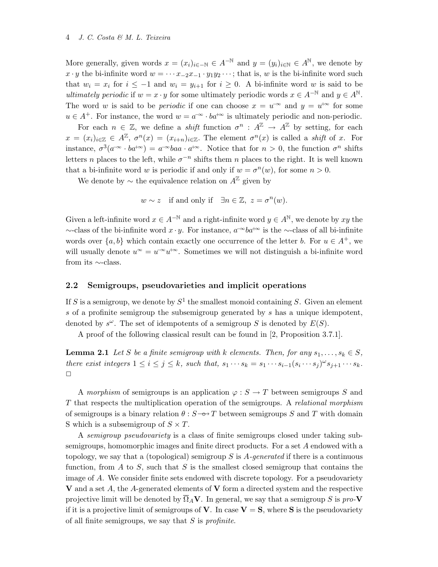More generally, given words  $x = (x_i)_{i \in -\mathbb{N}} \in A^{-\mathbb{N}}$  and  $y = (y_i)_{i \in \mathbb{N}} \in A^{\mathbb{N}}$ , we denote by x · y the bi-infinite word  $w = \cdots x_{-2}x_{-1} \cdot y_1y_2 \cdots$ ; that is, w is the bi-infinite word such that  $w_i = x_i$  for  $i \leq -1$  and  $w_i = y_{i+1}$  for  $i \geq 0$ . A bi-infinite word w is said to be ultimately periodic if  $w = x \cdot y$  for some ultimately periodic words  $x \in A^{-\mathbb{N}}$  and  $y \in A^{\mathbb{N}}$ . The word w is said to be *periodic* if one can choose  $x = u^{\infty}$  and  $y = u^{+\infty}$  for some  $u \in A^+$ . For instance, the word  $w = a^{-\infty} \cdot ba^{+\infty}$  is ultimately periodic and non-periodic.

For each  $n \in \mathbb{Z}$ , we define a *shift* function  $\sigma^n$ :  $A^{\mathbb{Z}} \to A^{\mathbb{Z}}$  by setting, for each  $x = (x_i)_{i \in \mathbb{Z}} \in A^{\mathbb{Z}}$ ,  $\sigma^n(x) = (x_{i+n})_{i \in \mathbb{Z}}$ . The element  $\sigma^n(x)$  is called a *shift* of x. For instance,  $\sigma^3(a^{-\infty} \cdot ba^{+\infty}) = a^{-\infty}baa \cdot a^{+\infty}$ . Notice that for  $n > 0$ , the function  $\sigma^n$  shifts letters *n* places to the left, while  $\sigma^{-n}$  shifts them *n* places to the right. It is well known that a bi-infinite word w is periodic if and only if  $w = \sigma^n(w)$ , for some  $n > 0$ .

We denote by  $\sim$  the equivalence relation on  $A^{\mathbb{Z}}$  given by

 $w \sim z$  if and only if  $\exists n \in \mathbb{Z}, z = \sigma^n(w)$ .

Given a left-infinite word  $x \in A^{-\mathbb{N}}$  and a right-infinite word  $y \in A^{\mathbb{N}}$ , we denote by  $xy$  the  $\sim$ -class of the bi-infinite word  $x \cdot y$ . For instance,  $a^{-\infty}ba^{+\infty}$  is the  $\sim$ -class of all bi-infinite words over  $\{a, b\}$  which contain exactly one occurrence of the letter b. For  $u \in A^+$ , we will usually denote  $u^{\infty} = u^{-\infty} u^{+\infty}$ . Sometimes we will not distinguish a bi-infinite word from its ∼-class.

### 2.2 Semigroups, pseudovarieties and implicit operations

If S is a semigroup, we denote by  $S^1$  the smallest monoid containing S. Given an element s of a profinite semigroup the subsemigroup generated by s has a unique idempotent, denoted by  $s^{\omega}$ . The set of idempotents of a semigroup S is denoted by  $E(S)$ .

A proof of the following classical result can be found in [2, Proposition 3.7.1].

**Lemma 2.1** Let S be a finite semigroup with k elements. Then, for any  $s_1, \ldots, s_k \in S$ , there exist integers  $1 \leq i \leq j \leq k$ , such that,  $s_1 \cdots s_k = s_1 \cdots s_{i-1} (s_i \cdots s_j)^{\omega} s_{j+1} \cdots s_k$ .  $\Box$ 

A morphism of semigroups is an application  $\varphi : S \to T$  between semigroups S and T that respects the multiplication operation of the semigroups. A relational morphism of semigroups is a binary relation  $\theta$ : S → T between semigroups S and T with domain S which is a subsemigroup of  $S \times T$ .

A semigroup pseudovariety is a class of finite semigroups closed under taking subsemigroups, homomorphic images and finite direct products. For a set A endowed with a topology, we say that a (topological) semigroup S is  $A$ -generated if there is a continuous function, from A to S, such that S is the smallest closed semigroup that contains the image of A. We consider finite sets endowed with discrete topology. For a pseudovariety V and a set A, the A-generated elements of V form a directed system and the respective projective limit will be denoted by  $\overline{\Omega}_A \mathbf{V}$ . In general, we say that a semigroup S is pro-V if it is a projective limit of semigroups of **V**. In case  $V = S$ , where S is the pseudovariety of all finite semigroups, we say that  $S$  is *profinite*.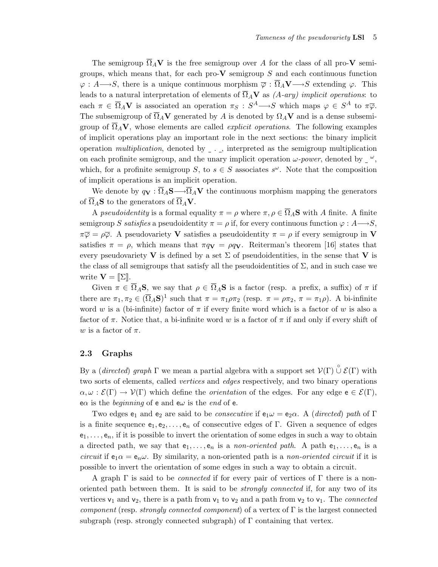The semigroup  $\overline{\Omega}_A V$  is the free semigroup over A for the class of all pro-V semigroups, which means that, for each pro- $V$  semigroup  $S$  and each continuous function  $\varphi: A \longrightarrow S$ , there is a unique continuous morphism  $\overline{\varphi}: \overline{\Omega}_A V \longrightarrow S$  extending  $\varphi$ . This leads to a natural interpretation of elements of  $\overline{\Omega}_A \mathbf{V}$  as  $(A-\mathit{ary})$  implicit operations: to each  $\pi \in \overline{\Omega}_A V$  is associated an operation  $\pi_S : S^A \longrightarrow S$  which maps  $\varphi \in S^A$  to  $\pi \overline{\varphi}$ . The subsemigroup of  $\overline{\Omega}_A V$  generated by A is denoted by  $\Omega_A V$  and is a dense subsemigroup of  $\Omega_A V$ , whose elements are called *explicit operations*. The following examples of implicit operations play an important role in the next sections: the binary implicit operation multiplication, denoted by  $\overline{\ }$ ..., interpreted as the semigroup multiplication on each profinite semigroup, and the unary implicit operation  $\omega$ -power, denoted by  $\omega$ , which, for a profinite semigroup S, to  $s \in S$  associates  $s^{\omega}$ . Note that the composition of implicit operations is an implicit operation.

We denote by  $q_V : \overline{\Omega}_A S \longrightarrow \overline{\Omega}_A V$  the continuous morphism mapping the generators of  $\overline{\Omega}_A$ **S** to the generators of  $\overline{\Omega}_A$ **V**.

A pseudoidentity is a formal equality  $\pi = \rho$  where  $\pi, \rho \in \overline{\Omega}_A$ **S** with A finite. A finite semigroup S satisfies a pseudoidentity  $\pi = \rho$  if, for every continuous function  $\varphi : A \longrightarrow S$ ,  $\pi\overline{\varphi} = \rho\overline{\varphi}$ . A pseudovariety **V** satisfies a pseudoidentity  $\pi = \rho$  if every semigroup in **V** satisfies  $\pi = \rho$ , which means that  $\pi q_V = \rho q_V$ . Reiterman's theorem [16] states that every pseudovariety V is defined by a set  $\Sigma$  of pseudoidentities, in the sense that V is the class of all semigroups that satisfy all the pseudoidentities of  $\Sigma$ , and in such case we write  $\mathbf{V} = \llbracket \Sigma \rrbracket$ .

Given  $\pi \in \overline{\Omega}_A$ S, we say that  $\rho \in \overline{\Omega}_A$ S is a factor (resp. a prefix, a suffix) of  $\pi$  if there are  $\pi_1, \pi_2 \in (\overline{\Omega}_A \mathbf{S})^1$  such that  $\pi = \pi_1 \rho \pi_2$  (resp.  $\pi = \rho \pi_2$ ,  $\pi = \pi_1 \rho$ ). A bi-infinite word w is a (bi-infinite) factor of  $\pi$  if every finite word which is a factor of w is also a factor of  $\pi$ . Notice that, a bi-infinite word w is a factor of  $\pi$  if and only if every shift of w is a factor of  $\pi$ .

### 2.3 Graphs

By a (directed) graph  $\Gamma$  we mean a partial algebra with a support set  $\mathcal{V}(\Gamma) \overset{\circ}{\cup} \mathcal{E}(\Gamma)$  with two sorts of elements, called *vertices* and *edges* respectively, and two binary operations  $\alpha, \omega : \mathcal{E}(\Gamma) \to \mathcal{V}(\Gamma)$  which define the *orientation* of the edges. For any edge  $e \in \mathcal{E}(\Gamma)$ , e $\alpha$  is the *beginning* of e and e $\omega$  is the *end* of e.

Two edges  $e_1$  and  $e_2$  are said to be *consecutive* if  $e_1 \omega = e_2 \alpha$ . A (directed) path of Γ is a finite sequence  $e_1, e_2, \ldots, e_n$  of consecutive edges of Γ. Given a sequence of edges  $e_1, \ldots, e_n$ , if it is possible to invert the orientation of some edges in such a way to obtain a directed path, we say that  $e_1, \ldots, e_n$  is a non-oriented path. A path  $e_1, \ldots, e_n$  is a circuit if  $e_1 \alpha = e_n \omega$ . By similarity, a non-oriented path is a non-oriented circuit if it is possible to invert the orientation of some edges in such a way to obtain a circuit.

A graph  $\Gamma$  is said to be *connected* if for every pair of vertices of  $\Gamma$  there is a nonoriented path between them. It is said to be strongly connected if, for any two of its vertices  $v_1$  and  $v_2$ , there is a path from  $v_1$  to  $v_2$  and a path from  $v_2$  to  $v_1$ . The *connected* component (resp. strongly connected component) of a vertex of  $\Gamma$  is the largest connected subgraph (resp. strongly connected subgraph) of  $\Gamma$  containing that vertex.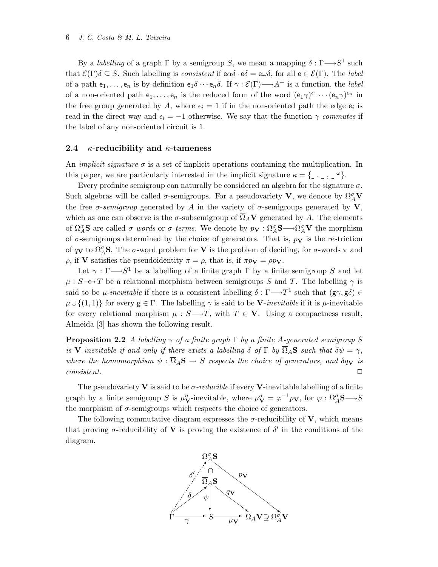By a *labelling* of a graph  $\Gamma$  by a semigroup S, we mean a mapping  $\delta : \Gamma \longrightarrow S^1$  such that  $\mathcal{E}(\Gamma)\delta \subseteq S$ . Such labelling is *consistent* if  $e\alpha\delta \cdot e\delta = e\omega\delta$ , for all  $e \in \mathcal{E}(\Gamma)$ . The *label* of a path  $e_1, \ldots, e_n$  is by definition  $e_1 \delta \cdots e_n \delta$ . If  $\gamma : \mathcal{E}(\Gamma) \longrightarrow A^+$  is a function, the *label* of a non-oriented path  $e_1, \ldots, e_n$  is the reduced form of the word  $(e_1\gamma)^{\epsilon_1} \cdots (e_n\gamma)^{\epsilon_n}$  in the free group generated by A, where  $\epsilon_i = 1$  if in the non-oriented path the edge  $\epsilon_i$  is read in the direct way and  $\epsilon_i = -1$  otherwise. We say that the function  $\gamma$  commutes if the label of any non-oriented circuit is 1.

#### 2.4  $\kappa$ -reducibility and  $\kappa$ -tameness

An *implicit signature*  $\sigma$  is a set of implicit operations containing the multiplication. In this paper, we are particularly interested in the implicit signature κ = { . , <sup>ω</sup>}.

Every profinite semigroup can naturally be considered an algebra for the signature  $\sigma$ . Such algebras will be called  $\sigma$ -semigroups. For a pseudovariety **V**, we denote by  $\Omega_A^{\sigma}$ **V** the free  $\sigma$ -semigroup generated by A in the variety of  $\sigma$ -semigroups generated by V, which as one can observe is the  $\sigma$ -subsemigroup of  $\overline{\Omega}_A$ V generated by A. The elements of  $\Omega_A^{\sigma}$ **S** are called  $\sigma$ -words or  $\sigma$ -terms. We denote by  $p_{\bf{V}} : \Omega_A^{\sigma}$ **S** $\longrightarrow$  $\Omega_A^{\sigma}$ **V** the morphism of  $\sigma$ -semigroups determined by the choice of generators. That is,  $p_{\mathbf{V}}$  is the restriction of  $q_V$  to  $\Omega_A^{\sigma}$ **S**. The  $\sigma$ -word problem for **V** is the problem of deciding, for  $\sigma$ -words  $\pi$  and ρ, if **V** satisfies the pseudoidentity  $\pi = \rho$ , that is, if  $\pi p$ **v** = ρp**v**.

Let  $\gamma : \Gamma \longrightarrow S^1$  be a labelling of a finite graph  $\Gamma$  by a finite semigroup S and let  $\mu$ :  $S \rightarrow T$  be a relational morphism between semigroups S and T. The labelling  $\gamma$  is said to be *µ*-inevitable if there is a consistent labelling  $\delta : \Gamma \longrightarrow T^1$  such that  $(g\gamma, g\delta) \in$  $\mu \cup \{(1,1)\}\$ for every  $g \in \Gamma$ . The labelling  $\gamma$  is said to be **V**-inevitable if it is  $\mu$ -inevitable for every relational morphism  $\mu : S \rightarrow T$ , with  $T \in V$ . Using a compactness result, Almeida [3] has shown the following result.

**Proposition 2.2** A labelling  $\gamma$  of a finite graph  $\Gamma$  by a finite A-generated semigroup S is V-inevitable if and only if there exists a labelling  $\delta$  of  $\Gamma$  by  $\overline{\Omega}_A$ S such that  $\delta \psi = \gamma$ , where the homomorphism  $\psi : \overline{\Omega}_A \mathbf{S} \to S$  respects the choice of generators, and  $\delta q_{\mathbf{V}}$  is  $consistent.$   $\Box$ 

The pseudovariety **V** is said to be  $\sigma$ -reducible if every **V**-inevitable labelling of a finite graph by a finite semigroup S is  $\mu_V^{\sigma}$ -inevitable, where  $\mu_V^{\sigma} = \varphi^{-1}p_V$ , for  $\varphi : \Omega_A^{\sigma}S \longrightarrow S$ the morphism of  $\sigma$ -semigroups which respects the choice of generators.

The following commutative diagram expresses the  $\sigma$ -reducibility of V, which means that proving  $\sigma$ -reducibility of **V** is proving the existence of  $\delta'$  in the conditions of the diagram.

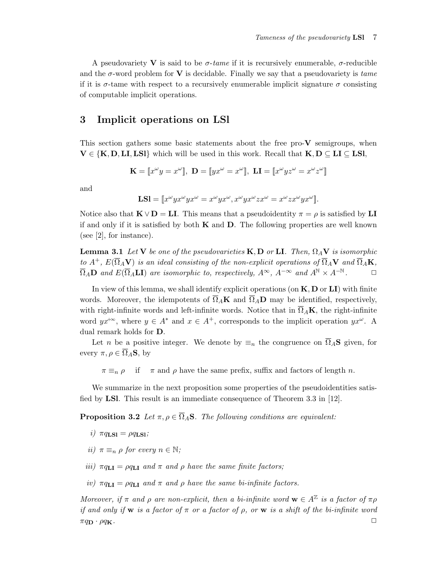A pseudovariety V is said to be  $\sigma$ -tame if it is recursively enumerable,  $\sigma$ -reducible and the  $\sigma$ -word problem for V is decidable. Finally we say that a pseudovariety is tame if it is  $\sigma$ -tame with respect to a recursively enumerable implicit signature  $\sigma$  consisting of computable implicit operations.

## 3 Implicit operations on LSl

This section gathers some basic statements about the free pro- $V$  semigroups, when  $V \in \{K, D, LI,LSl\}$  which will be used in this work. Recall that  $K, D \subseteq LI \subseteq LSl$ ,

$$
\mathbf{K} = [\![x^\omega y = x^\omega]\!], \ \mathbf{D} = [\![yx^\omega = x^\omega]\!], \ \mathbf{L} \mathbf{I} = [\![x^\omega y z^\omega = x^\omega z^\omega]\!]
$$

and

$$
\mathbf{LSl} = [x^{\omega}yx^{\omega}yx^{\omega} = x^{\omega}yx^{\omega}, x^{\omega}yx^{\omega}zx^{\omega} = x^{\omega}zx^{\omega}yx^{\omega}].
$$

Notice also that  $\mathbf{K} \vee \mathbf{D} = \mathbf{L} \mathbf{I}$ . This means that a pseudoidentity  $\pi = \rho$  is satisfied by  $\mathbf{L} \mathbf{I}$ if and only if it is satisfied by both  $K$  and  $D$ . The following properties are well known (see [2], for instance).

**Lemma 3.1** Let V be one of the pseudovarieties K, D or LI. Then,  $\Omega_A V$  is isomorphic to  $A^+$ ,  $E(\overline{\Omega}_A \mathbf{V})$  is an ideal consisting of the non-explicit operations of  $\overline{\Omega}_A \mathbf{V}$  and  $\overline{\Omega}_A \mathbf{K}$ ,  $\overline{\Omega}_A$ **D** and  $E(\overline{\Omega}_A \mathbf{LI})$  are isomorphic to, respectively,  $A^{\infty}$ ,  $A^{-\infty}$  and  $A^{\mathbb{N}} \times A^{-\mathbb{N}}$ .

In view of this lemma, we shall identify explicit operations (on  $K, D$  or  $LI$ ) with finite words. Moreover, the idempotents of  $\overline{\Omega}_A\mathbf{K}$  and  $\overline{\Omega}_A\mathbf{D}$  may be identified, respectively, with right-infinite words and left-infinite words. Notice that in  $\overline{\Omega}_A\mathbf{K}$ , the right-infinite word  $yx^{+\infty}$ , where  $y \in A^*$  and  $x \in A^+$ , corresponds to the implicit operation  $yx^{\omega}$ . A dual remark holds for D.

Let n be a positive integer. We denote by  $\equiv_n$  the congruence on  $\overline{\Omega}_A$ **S** given, for every  $\pi, \rho \in \overline{\Omega}_A$ **S**, by

 $\pi \equiv_n \rho$  if  $\pi$  and  $\rho$  have the same prefix, suffix and factors of length n.

We summarize in the next proposition some properties of the pseudoidentities satisfied by LSl. This result is an immediate consequence of Theorem 3.3 in [12].

**Proposition 3.2** Let  $\pi, \rho \in \overline{\Omega}_A$ **S**. The following conditions are equivalent:

- i)  $\pi q_{\text{LSI}} = \rho q_{\text{LSI}}$ ;
- ii)  $\pi \equiv_n \rho$  for every  $n \in \mathbb{N}$ ;
- iii)  $\pi q_{LI} = \rho q_{LI}$  and  $\pi$  and  $\rho$  have the same finite factors;
- iv)  $\pi q_{\text{LI}} = \rho q_{\text{LI}}$  and  $\pi$  and  $\rho$  have the same bi-infinite factors.

Moreover, if  $\pi$  and  $\rho$  are non-explicit, then a bi-infinite word  $\mathbf{w} \in A^{\mathbb{Z}}$  is a factor of  $\pi \rho$ if and only if w is a factor of  $\pi$  or a factor of  $\rho$ , or w is a shift of the bi-infinite word  $\pi q_{\bf D} \cdot \rho q_{\bf K}$ .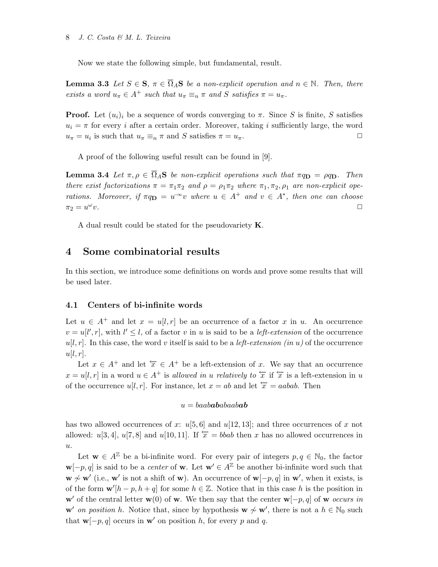Now we state the following simple, but fundamental, result.

**Lemma 3.3** Let  $S \in \mathbf{S}$ ,  $\pi \in \overline{\Omega}_A \mathbf{S}$  be a non-explicit operation and  $n \in \mathbb{N}$ . Then, there exists a word  $u_{\pi} \in A^+$  such that  $u_{\pi} \equiv_n \pi$  and S satisfies  $\pi = u_{\pi}$ .

**Proof.** Let  $(u_i)_i$  be a sequence of words converging to  $\pi$ . Since S is finite, S satisfies  $u_i = \pi$  for every *i* after a certain order. Moreover, taking *i* sufficiently large, the word  $u_{\pi} = u_i$  is such that  $u_{\pi} \equiv_n \pi$  and S satisfies  $\pi = u_{\pi}$ .

A proof of the following useful result can be found in [9].

**Lemma 3.4** Let  $\pi, \rho \in \overline{\Omega}_A$ **S** be non-explicit operations such that  $\pi q_\mathbf{D} = \rho q_\mathbf{D}$ . Then there exist factorizations  $\pi = \pi_1 \pi_2$  and  $\rho = \rho_1 \pi_2$  where  $\pi_1, \pi_2, \rho_1$  are non-explicit operations. Moreover, if  $\pi q_D = u^{\infty}v$  where  $u \in A^+$  and  $v \in A^*$ , then one can choose  $\pi_2 = u^\omega$  $v.$ 

A dual result could be stated for the pseudovariety K.

## 4 Some combinatorial results

In this section, we introduce some definitions on words and prove some results that will be used later.

### 4.1 Centers of bi-infinite words

Let  $u \in A^+$  and let  $x = u[l, r]$  be an occurrence of a factor x in u. An occurrence  $v = u[l', r]$ , with  $l' \leq l$ , of a factor v in u is said to be a *left-extension* of the occurrence  $u[l, r]$ . In this case, the word v itself is said to be a *left-extension (in u)* of the occurrence  $u[l, r]$ .

Let  $x \in A^+$  and let  $\overleftarrow{x} \in A^+$  be a left-extension of x. We say that an occurrence  $x = u[l, r]$  in a word  $u \in A^+$  is allowed in u relatively to  $\overleftarrow{x}$  if  $\overleftarrow{x}$  is a left-extension in u of the occurrence u[l, r]. For instance, let  $x = ab$  and let  $\overleftarrow{x} = aabab$ . Then

#### $u = baababababaabab$

has two allowed occurrences of x:  $u[5,6]$  and  $u[12, 13]$ ; and three occurrences of x not allowed: u[3, 4], u[7, 8] and u[10, 11]. If  $\overline{x} = bbab$  then x has no allowed occurrences in  $u$ .

Let  $\mathbf{w} \in A^{\mathbb{Z}}$  be a bi-infinite word. For every pair of integers  $p, q \in \mathbb{N}_0$ , the factor  $\mathbf{w}[-p, q]$  is said to be a *center* of **w**. Let  $\mathbf{w}' \in A^{\mathbb{Z}}$  be another bi-infinite word such that  $\mathbf{w} \nsim \mathbf{w}'$  (i.e.,  $\mathbf{w}'$  is not a shift of w). An occurrence of  $\mathbf{w}[-p, q]$  in  $\mathbf{w}'$ , when it exists, is of the form  $\mathbf{w}'[h-p, h+q]$  for some  $h \in \mathbb{Z}$ . Notice that in this case h is the position in w' of the central letter w(0) of w. We then say that the center w[ $-p$ , q] of w occurs in w' on position h. Notice that, since by hypothesis  $w \nsim w'$ , there is not a  $h \in \mathbb{N}_0$  such that  $\mathbf{w}[-p, q]$  occurs in  $\mathbf{w}'$  on position h, for every p and q.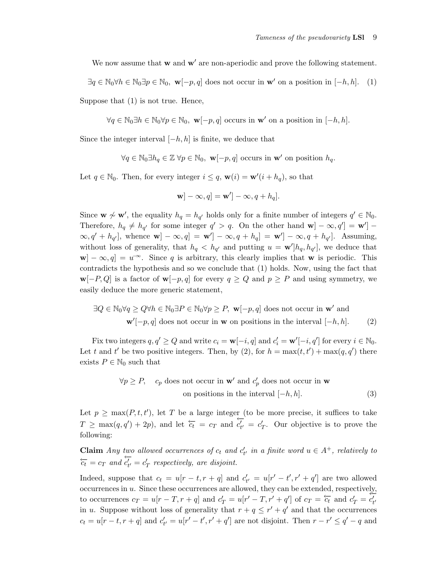We now assume that  $w$  and  $w'$  are non-aperiodic and prove the following statement.

 $\exists q \in \mathbb{N}_0 \forall h \in \mathbb{N}_0 \exists p \in \mathbb{N}_0, \mathbf{w}[-p, q]$  does not occur in  $\mathbf{w}'$  on a position in  $[-h, h]$ . (1)

Suppose that (1) is not true. Hence,

 $\forall q \in \mathbb{N}_0 \exists h \in \mathbb{N}_0 \forall p \in \mathbb{N}_0, \mathbf{w}[-p, q]$  occurs in  $\mathbf{w}'$  on a position in  $[-h, h]$ .

Since the integer interval  $[-h, h]$  is finite, we deduce that

$$
\forall q \in \mathbb{N}_0 \exists h_q \in \mathbb{Z} \,\forall p \in \mathbb{N}_0, \mathbf{w}[-p, q] \text{ occurs in } \mathbf{w}' \text{ on position } h_q.
$$

Let  $q \in \mathbb{N}_0$ . Then, for every integer  $i \leq q$ ,  $\mathbf{w}(i) = \mathbf{w}'(i + h_q)$ , so that

$$
\mathbf{w}] - \infty, q] = \mathbf{w}'] - \infty, q + h_q].
$$

Since  $\mathbf{w} \not\sim \mathbf{w}'$ , the equality  $h_q = h_{q'}$  holds only for a finite number of integers  $q' \in \mathbb{N}_0$ . Therefore,  $h_q \neq h_{q'}$  for some integer  $q' > q$ . On the other hand  $\mathbf{w}$  $] - \infty, q'$  $] = \mathbf{w}'$  $] \infty, q' + h_{q'}],$  whence  $\mathbf{w}$   $] - \infty, q$   $] = \mathbf{w}'$   $] - \infty, q + h_{q'}] - \infty, q + h_{q'}].$  Assuming, without loss of generality, that  $h_q < h_{q'}$  and putting  $u = \mathbf{w'}[h_q, h_{q'}]$ , we deduce that  $|\mathbf{w}| - \infty, q| = u^{-\infty}$ . Since q is arbitrary, this clearly implies that w is periodic. This contradicts the hypothesis and so we conclude that (1) holds. Now, using the fact that  $\mathbf{w}[-P,Q]$  is a factor of  $\mathbf{w}[-p,q]$  for every  $q \geq Q$  and  $p \geq P$  and using symmetry, we easily deduce the more generic statement,

$$
\exists Q \in \mathbb{N}_0 \forall q \ge Q \forall h \in \mathbb{N}_0 \exists P \in \mathbb{N}_0 \forall p \ge P, \mathbf{w}[-p, q] \text{ does not occur in } \mathbf{w}' \text{ and}
$$

$$
\mathbf{w}'[-p, q] \text{ does not occur in } \mathbf{w} \text{ on positions in the interval } [-h, h].
$$
 (2)

Fix two integers  $q, q' \geq Q$  and write  $c_i = \mathbf{w}[-i, q]$  and  $c'_i = \mathbf{w}'[-i, q']$  for every  $i \in \mathbb{N}_0$ . Let t and t' be two positive integers. Then, by (2), for  $h = \max(t, t') + \max(q, q')$  there exists  $P \in \mathbb{N}_0$  such that

$$
\forall p \ge P, \quad c_p \text{ does not occur in } \mathbf{w}' \text{ and } c'_p \text{ does not occur in } \mathbf{w}
$$
  
on positions in the interval  $[-h, h]$ . (3)

Let  $p \geq \max(P, t, t')$ , let T be a large integer (to be more precise, it suffices to take  $T \geq \max(q, q') + 2p$ , and let  $\overleftarrow{c_t} = c_T$  and  $\overleftarrow{c_t}$  $c'_{t'} = c'_{T}$ . Our objective is to prove the following:

**Claim** Any two allowed occurrences of  $c_t$  and  $c'_{t'}$  in a finite word  $u \in A^+$ , relatively to  $\overleftarrow{c_t} = c_T$  and  $\overleftarrow{c'_{t'}}$  $c'_{t'} = c'_{T}$  respectively, are disjoint.

Indeed, suppose that  $c_t = u[r - t, r + q]$  and  $c'_{t'} = u[r' - t', r' + q']$  are two allowed occurrences in u. Since these occurrences are allowed, they can be extended, respectively, to occurrences  $c_T = u[r - T, r + q]$  and  $c'_T = u[r' - T, r' + q']$  of  $c_T = \overleftarrow{c_t}$  and  $c'_T = \overleftrightarrow{c_t}$ in u. Suppose without loss of generality that  $r + q \leq r' + q'$  and that the occurrences  $c_t = u[r - t, r + q]$  and  $c'_{t'} = u[r' - t', r' + q']$  are not disjoint. Then  $r - r' \le q' - q$  and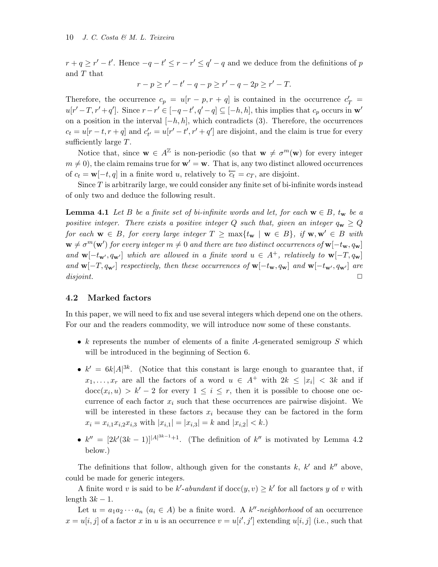#### 10 J. C. Costa & M. L. Teixeira

 $r + q \geq r' - t'$ . Hence  $-q - t' \leq r - r' \leq q' - q$  and we deduce from the definitions of p and T that

$$
r - p \ge r' - t' - q - p \ge r' - q - 2p \ge r' - T.
$$

Therefore, the occurrence  $c_p = u[r - p, r + q]$  is contained in the occurrence  $c'_T =$  $u[r'-T, r'+q']$ . Since  $r-r' \in [-q-t', q'-q] \subseteq [-h, h]$ , this implies that  $c_p$  occurs in w' on a position in the interval  $[-h, h]$ , which contradicts (3). Therefore, the occurrences  $c_t = u[r-t, r+q]$  and  $c'_{t'} = u[r'-t', r'+q']$  are disjoint, and the claim is true for every sufficiently large T.

Notice that, since  $\mathbf{w} \in A^{\mathbb{Z}}$  is non-periodic (so that  $\mathbf{w} \neq \sigma^m(\mathbf{w})$  for every integer  $m \neq 0$ , the claim remains true for  $w' = w$ . That is, any two distinct allowed occurrences of  $c_t = \mathbf{w}[-t, q]$  in a finite word u, relatively to  $\overleftarrow{c_t} = c_T$ , are disjoint.

Since  $T$  is arbitrarily large, we could consider any finite set of bi-infinite words instead of only two and deduce the following result.

**Lemma 4.1** Let B be a finite set of bi-infinite words and let, for each  $w \in B$ ,  $t_w$  be a positive integer. There exists a positive integer Q such that, given an integer  $q_w \ge Q$ for each  $\mathbf{w} \in B$ , for every large integer  $T \ge \max\{t_{\mathbf{w}} \mid \mathbf{w} \in B\}$ , if  $\mathbf{w}, \mathbf{w}' \in B$  with  $\mathbf{w} \neq \sigma^m(\mathbf{w}')$  for every integer  $m \neq 0$  and there are two distinct occurrences of  $\mathbf{w}[-t_\mathbf{w}, q_\mathbf{w}]$ and  $\mathbf{w}[-t_{\mathbf{w}'}, q_{\mathbf{w}'}]$  which are allowed in a finite word  $u \in A^+$ , relatively to  $\mathbf{w}[-T, q_{\mathbf{w}}]$ and  $\mathbf{w}[-T, q_{\mathbf{w}'}]$  respectively, then these occurrences of  $\mathbf{w}[-t_{\mathbf{w}}, q_{\mathbf{w}}]$  and  $\mathbf{w}[-t_{\mathbf{w}'}, q_{\mathbf{w}'}]$  are  $disjoint.$ 

### 4.2 Marked factors

In this paper, we will need to fix and use several integers which depend one on the others. For our and the readers commodity, we will introduce now some of these constants.

- k represents the number of elements of a finite A-generated semigroup  $S$  which will be introduced in the beginning of Section 6.
- $k' = 6k|A|^{3k}$ . (Notice that this constant is large enough to guarantee that, if  $x_1, \ldots, x_r$  are all the factors of a word  $u \in A^+$  with  $2k \leq |x_i|$  < 3k and if  $\mathrm{doc}(x_i, u) > k'-2$  for every  $1 \leq i \leq r$ , then it is possible to choose one occurrence of each factor  $x_i$  such that these occurrences are pairwise disjoint. We will be interested in these factors  $x_i$  because they can be factored in the form  $x_i = x_{i,1}x_{i,2}x_{i,3}$  with  $|x_{i,1}| = |x_{i,3}| = k$  and  $|x_{i,2}| < k$ .
- $k'' = \left[2k'(3k-1)\right]^{A^{3k-1}+1}$ . (The definition of k'' is motivated by Lemma 4.2) below.)

The definitions that follow, although given for the constants  $k, k'$  and  $k''$  above, could be made for generic integers.

A finite word v is said to be k'-abundant if  $\text{doc}(y, v) \geq k'$  for all factors y of v with length  $3k - 1$ .

Let  $u = a_1 a_2 \cdots a_n$   $(a_i \in A)$  be a finite word. A k''-neighborhood of an occurrence  $x = u[i, j]$  of a factor x in u is an occurrence  $v = u[i', j']$  extending  $u[i, j]$  (i.e., such that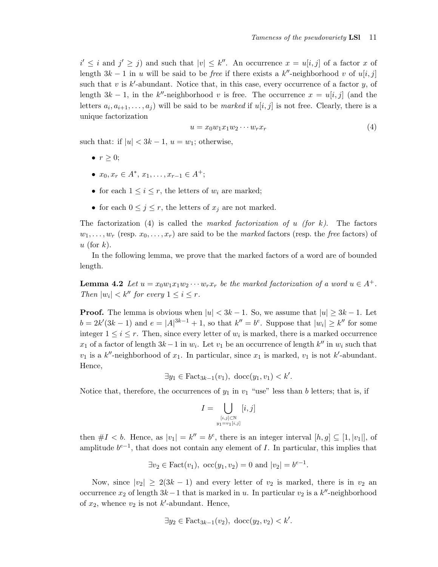$i' \leq i$  and  $j' \geq j$ ) and such that  $|v| \leq k''$ . An occurrence  $x = u[i, j]$  of a factor x of length  $3k - 1$  in u will be said to be *free* if there exists a k''-neighborhood v of u[i, j] such that  $v$  is  $k'$ -abundant. Notice that, in this case, every occurrence of a factor  $y$ , of length  $3k - 1$ , in the k''-neighborhood v is free. The occurrence  $x = u[i, j]$  (and the letters  $a_i, a_{i+1}, \ldots, a_j$  will be said to be *marked* if  $u[i, j]$  is not free. Clearly, there is a unique factorization

$$
u = x_0 w_1 x_1 w_2 \cdots w_r x_r \tag{4}
$$

such that: if  $|u| < 3k - 1$ ,  $u = w_1$ ; otherwise,

- $r \geq 0$ ;
- $x_0, x_r \in A^*, x_1, \ldots, x_{r-1} \in A^+;$
- for each  $1 \leq i \leq r$ , the letters of  $w_i$  are marked;
- for each  $0 \leq j \leq r$ , the letters of  $x_j$  are not marked.

The factorization (4) is called the marked factorization of u (for k). The factors  $w_1, \ldots, w_r$  (resp.  $x_0, \ldots, x_r$ ) are said to be the marked factors (resp. the free factors) of u (for  $k$ ).

In the following lemma, we prove that the marked factors of a word are of bounded length.

**Lemma 4.2** Let  $u = x_0w_1x_1w_2 \cdots w_rx_r$  be the marked factorization of a word  $u \in A^+$ . Then  $|w_i| < k''$  for every  $1 \leq i \leq r$ .

**Proof.** The lemma is obvious when  $|u| < 3k - 1$ . So, we assume that  $|u| \geq 3k - 1$ . Let  $b = 2k'(3k-1)$  and  $e = |A|^{3k-1} + 1$ , so that  $k'' = b^e$ . Suppose that  $|w_i| \geq k''$  for some integer  $1 \leq i \leq r$ . Then, since every letter of  $w_i$  is marked, there is a marked occurrence  $x_1$  of a factor of length  $3k-1$  in  $w_i$ . Let  $v_1$  be an occurrence of length  $k''$  in  $w_i$  such that  $v_1$  is a k''-neighborhood of  $x_1$ . In particular, since  $x_1$  is marked,  $v_1$  is not k'-abundant. Hence,

 $\exists y_1 \in \text{Fact}_{3k-1}(v_1), \ \text{doc}(y_1, v_1) < k'.$ 

Notice that, therefore, the occurrences of  $y_1$  in  $v_1$  "use" less than b letters; that is, if

$$
I = \bigcup_{\substack{[i,j]\in\mathbb{N}\\y_1=v_1[i,j]}} [i,j]
$$

then  $\#I < b$ . Hence, as  $|v_1| = k'' = b^e$ , there is an integer interval  $[h, g] \subseteq [1, |v_1|]$ , of amplitude  $b^{e-1}$ , that does not contain any element of I. In particular, this implies that

$$
\exists v_2 \in \text{Fact}(v_1), \text{ occ}(y_1, v_2) = 0 \text{ and } |v_2| = b^{e-1}.
$$

Now, since  $|v_2| \geq 2(3k-1)$  and every letter of  $v_2$  is marked, there is in  $v_2$  and occurrence  $x_2$  of length  $3k-1$  that is marked in u. In particular  $v_2$  is a  $k''$ -neighborhood of  $x_2$ , whence  $v_2$  is not k'-abundant. Hence,

$$
\exists y_2 \in \text{Fact}_{3k-1}(v_2), \ \text{doc}(y_2, v_2) < k'.
$$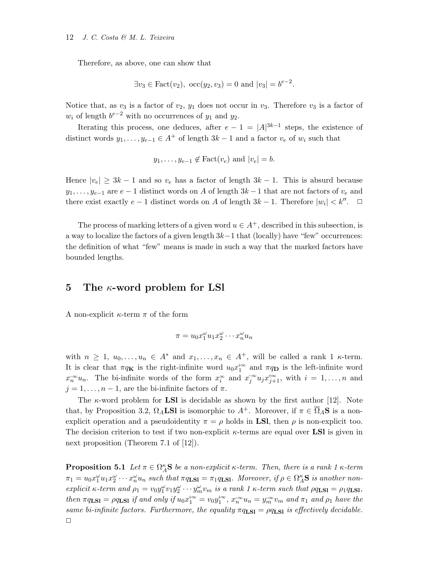Therefore, as above, one can show that

$$
\exists v_3 \in \text{Fact}(v_2), \ \text{occ}(y_2, v_3) = 0 \text{ and } |v_3| = b^{e-2}.
$$

Notice that, as  $v_3$  is a factor of  $v_2$ ,  $y_1$  does not occur in  $v_3$ . Therefore  $v_3$  is a factor of  $w_i$  of length  $b^{e-2}$  with no occurrences of  $y_1$  and  $y_2$ .

Iterating this process, one deduces, after  $e-1 = |A|^{3k-1}$  steps, the existence of distinct words  $y_1, \ldots, y_{e-1} \in A^+$  of length  $3k - 1$  and a factor  $v_e$  of  $w_i$  such that

$$
y_1, \ldots, y_{e-1} \notin \text{Fact}(v_e) \text{ and } |v_e| = b.
$$

Hence  $|v_e| \geq 3k - 1$  and so  $v_e$  has a factor of length  $3k - 1$ . This is absurd because  $y_1, \ldots, y_{e-1}$  are  $e-1$  distinct words on A of length  $3k-1$  that are not factors of  $v_e$  and there exist exactly  $e-1$  distinct words on A of length  $3k-1$ . Therefore  $|w_i| < k''$ .  $\Box$ 

The process of marking letters of a given word  $u \in A^+$ , described in this subsection, is a way to localize the factors of a given length  $3k-1$  that (locally) have "few" occurrences: the definition of what "few" means is made in such a way that the marked factors have bounded lengths.

## 5 The  $\kappa$ -word problem for LSI

A non-explicit  $\kappa$ -term  $\pi$  of the form

$$
\pi = u_0 x_1^{\omega} u_1 x_2^{\omega} \cdots x_n^{\omega} u_n
$$

with  $n \geq 1, u_0, \ldots, u_n \in A^*$  and  $x_1, \ldots, x_n \in A^+$ , will be called a rank 1  $\kappa$ -term. It is clear that  $\pi q_K$  is the right-infinite word  $u_0 x_1^{+\infty}$  and  $\pi q_D$  is the left-infinite word  $x_n^{\infty} u_n$ . The bi-infinite words of the form  $x_i^{\infty}$  and  $x_j^{\infty} u_j x_{j+1}^{+\infty}$ , with  $i = 1, ..., n$  and  $j = 1, \ldots, n - 1$ , are the bi-infinite factors of  $\pi$ .

The  $\kappa$ -word problem for **LSI** is decidable as shown by the first author [12]. Note that, by Proposition 3.2,  $\Omega_A$ **LSI** is isomorphic to  $A^+$ . Moreover, if  $\pi \in \overline{\Omega}_A$ **S** is a nonexplicit operation and a pseudoidentity  $\pi = \rho$  holds in **LSI**, then  $\rho$  is non-explicit too. The decision criterion to test if two non-explicit  $\kappa$ -terms are equal over **LSI** is given in next proposition (Theorem 7.1 of [12]).

**Proposition 5.1** Let  $\pi \in \Omega_A^{\kappa}$ **S** be a non-explicit  $\kappa$ -term. Then, there is a rank 1  $\kappa$ -term  $\pi_1 = u_0 x_1^{\omega} u_1 x_2^{\omega} \cdots x_n^{\omega} u_n$  such that  $\pi q_{\text{LSI}} = \pi_1 q_{\text{LSI}}$ . Moreover, if  $\rho \in \Omega_A^{\kappa}$ S is another nonexplicit κ-term and  $\rho_1 = v_0 y_1^{\omega} v_1 y_2^{\omega} \cdots y_m^{\omega} v_m$  is a rank 1 κ-term such that  $\rho q_{\text{LSI}} = \rho_1 q_{\text{LSI}}$ , then  $\pi q_{\text{LSI}} = \rho q_{\text{LSI}}$  if and only if  $u_0 x_1^{+\infty} = v_0 y_1^{+\infty}$ ,  $x_n^{-\infty} u_n = y_m^{-\infty} v_m$  and  $\pi_1$  and  $\rho_1$  have the same bi-infinite factors. Furthermore, the equality  $\pi q_{\text{LSI}} = \rho q_{\text{LSI}}$  is effectively decidable.  $\Box$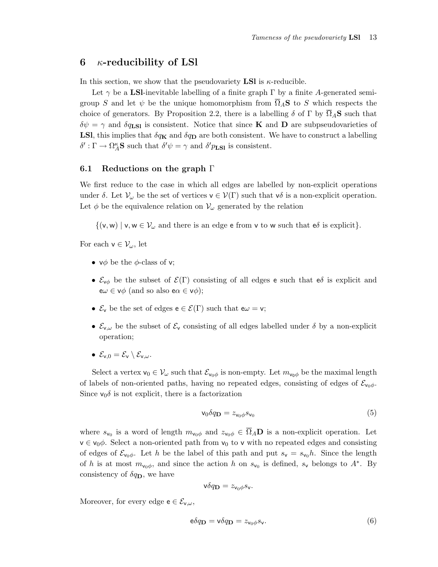## 6  $\kappa$ -reducibility of LSI

In this section, we show that the pseudovariety **LSI** is  $\kappa$ -reducible.

Let  $\gamma$  be a LSI-inevitable labelling of a finite graph  $\Gamma$  by a finite A-generated semigroup S and let  $\psi$  be the unique homomorphism from  $\overline{\Omega}_A$ S to S which respects the choice of generators. By Proposition 2.2, there is a labelling  $\delta$  of  $\Gamma$  by  $\overline{\Omega}_A$ **S** such that  $\delta\psi = \gamma$  and  $\delta q_{\text{LSI}}$  is consistent. Notice that since **K** and **D** are subpseudovarieties of **LSl**, this implies that  $\delta q_{\mathbf{K}}$  and  $\delta q_{\mathbf{D}}$  are both consistent. We have to construct a labelling  $\delta': \Gamma \to \Omega_A^{\kappa}$ **S** such that  $\delta' \psi = \gamma$  and  $\delta' p_{LSl}$  is consistent.

### 6.1 Reductions on the graph Γ

We first reduce to the case in which all edges are labelled by non-explicit operations under  $\delta$ . Let  $\mathcal{V}_{\omega}$  be the set of vertices  $\mathsf{v} \in \mathcal{V}(\Gamma)$  such that  $\mathsf{v}\delta$  is a non-explicit operation. Let  $\phi$  be the equivalence relation on  $\mathcal{V}_{\omega}$  generated by the relation

 $\{(v,w) \mid v,w \in V_\omega \text{ and there is an edge } e \text{ from } v \text{ to } w \text{ such that } e\delta \text{ is explicit}\}.$ 

For each  $v \in \mathcal{V}_{\omega}$ , let

- $\vee \phi$  be the  $\phi$ -class of v;
- $\mathcal{E}_{\nu\phi}$  be the subset of  $\mathcal{E}(\Gamma)$  consisting of all edges e such that e $\delta$  is explicit and  $e\omega \in v\phi$  (and so also  $e\alpha \in v\phi$ );
- $\mathcal{E}_v$  be the set of edges  $e \in \mathcal{E}(\Gamma)$  such that  $e\omega = v$ ;
- $\mathcal{E}_{v,\omega}$  be the subset of  $\mathcal{E}_v$  consisting of all edges labelled under  $\delta$  by a non-explicit operation;
- $\mathcal{E}_{v,0} = \mathcal{E}_{v} \setminus \mathcal{E}_{v,\omega}$ .

Select a vertex  $v_0 \in V_\omega$  such that  $\mathcal{E}_{v_0\phi}$  is non-empty. Let  $m_{v_0\phi}$  be the maximal length of labels of non-oriented paths, having no repeated edges, consisting of edges of  $\mathcal{E}_{\mathsf{v}_0\phi}$ . Since  $v_0 \delta$  is not explicit, there is a factorization

$$
\mathbf{v}_0 \delta q_{\mathbf{D}} = z_{\mathbf{v}_0 \phi} s_{\mathbf{v}_0} \tag{5}
$$

where  $s_{v_0}$  is a word of length  $m_{v_0\phi}$  and  $z_{v_0\phi} \in \overline{\Omega}_A \mathbf{D}$  is a non-explicit operation. Let  $v \in v_0 \phi$ . Select a non-oriented path from  $v_0$  to v with no repeated edges and consisting of edges of  $\mathcal{E}_{\mathsf{v}_0\phi}$ . Let h be the label of this path and put  $s_{\mathsf{v}} = s_{\mathsf{v}_0}h$ . Since the length of h is at most  $m_{\nu_0\phi}$ , and since the action h on  $s_{\nu_0}$  is defined,  $s_{\nu}$  belongs to  $A^*$ . By consistency of  $\delta q_{\mathbf{D}}$ , we have

$$
\mathsf{v}\delta q_{\mathbf{D}} = z_{\mathsf{v}_0\phi} s_{\mathsf{v}}.
$$

Moreover, for every edge  $e \in \mathcal{E}_{v,\omega}$ ,

$$
\mathbf{e}\delta q_{\mathbf{D}} = \mathbf{v}\delta q_{\mathbf{D}} = z_{\mathbf{v}_0\phi} s_{\mathbf{v}}.\tag{6}
$$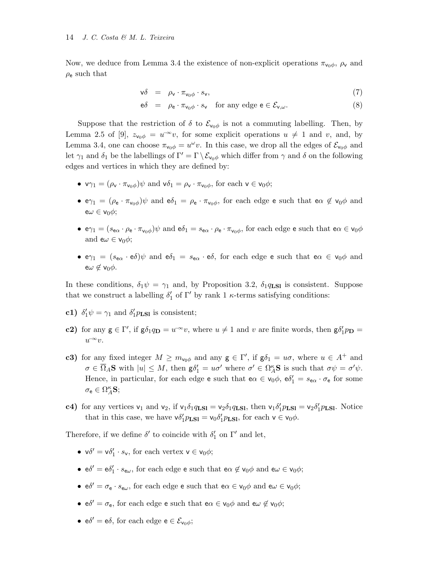Now, we deduce from Lemma 3.4 the existence of non-explicit operations  $\pi_{\nu_0\phi}$ ,  $\rho_{\nu}$  and  $\rho_e$  such that

$$
\mathsf{v}\delta = \rho_\mathsf{v} \cdot \pi_{\mathsf{v}_0\phi} \cdot s_\mathsf{v},\tag{7}
$$

$$
e\delta = \rho_e \cdot \pi_{v_0\phi} \cdot s_v \quad \text{for any edge } e \in \mathcal{E}_{v,\omega}.\tag{8}
$$

Suppose that the restriction of  $\delta$  to  $\mathcal{E}_{\mathsf{v}_0\phi}$  is not a commuting labelling. Then, by Lemma 2.5 of [9],  $z_{v_0\phi} = u^{-\infty}v$ , for some explicit operations  $u \neq 1$  and v, and, by Lemma 3.4, one can choose  $\pi_{\nu_0\phi} = u^{\omega}v$ . In this case, we drop all the edges of  $\mathcal{E}_{\nu_0\phi}$  and let  $\gamma_1$  and  $\delta_1$  be the labellings of  $\Gamma' = \Gamma \setminus \mathcal{E}_{\mathsf{v}_0 \phi}$  which differ from  $\gamma$  and  $\delta$  on the following edges and vertices in which they are defined by:

- $\nabla \gamma_1 = (\rho_v \cdot \pi_{v_0 \phi}) \psi$  and  $\nabla \delta_1 = \rho_v \cdot \pi_{v_0 \phi}$ , for each  $v \in v_0 \phi$ ;
- $e\gamma_1 = (\rho_e \cdot \pi_{\nu_0\phi})\psi$  and  $e\delta_1 = \rho_e \cdot \pi_{\nu_0\phi}$ , for each edge e such that  $e\alpha \notin \nu_0\phi$  and  $e\omega \in v_0\phi;$
- $e\gamma_1 = (s_{\mathbf{e}\alpha} \cdot \rho_{\mathbf{e}} \cdot \pi_{\mathsf{v}_0\phi})\psi$  and  $e\delta_1 = s_{\mathbf{e}\alpha} \cdot \rho_{\mathbf{e}} \cdot \pi_{\mathsf{v}_0\phi}$ , for each edge e such that  $e\alpha \in \mathsf{v}_0\phi$ and  $e\omega \in v_0\phi$ ;
- $e\gamma_1 = (s_{\mathbf{e}\alpha} \cdot \mathbf{e}\delta)\psi$  and  $\mathbf{e}\delta_1 = s_{\mathbf{e}\alpha} \cdot \mathbf{e}\delta$ , for each edge e such that  $\mathbf{e}\alpha \in \mathbf{v}_0\phi$  and  $e\omega \notin v_0\phi$ .

In these conditions,  $\delta_1 \psi = \gamma_1$  and, by Proposition 3.2,  $\delta_1 q_{LS}$  is consistent. Suppose that we construct a labelling  $\delta'_1$  of  $\Gamma'$  by rank 1  $\kappa$ -terms satisfying conditions:

- c1)  $\delta'_1 \psi = \gamma_1$  and  $\delta'_1 p_{LS1}$  is consistent;
- c2) for any  $g \in \Gamma'$ , if  $g\delta_1 q_D = u^{-\infty}v$ , where  $u \neq 1$  and v are finite words, then  $g\delta'_1 p_D =$  $u^{\infty}v.$
- c3) for any fixed integer  $M \geq m_{\nu_0\phi}$  and any  $g \in \Gamma'$ , if  $g\delta_1 = u\sigma$ , where  $u \in A^+$  and  $\sigma \in \overline{\Omega}_A$ **S** with  $|u| \leq M$ , then  $\mathsf{g} \delta_1' = u \sigma'$  where  $\sigma' \in \Omega_A^{\kappa}$ **S** is such that  $\sigma \psi = \sigma' \psi$ . Hence, in particular, for each edge e such that  $e\alpha \in v_0\phi$ ,  $e\delta_1' = s_{e\alpha} \cdot \sigma_e$  for some  $\sigma_{\mathbf{e}} \in \Omega_A^{\kappa} \mathbf{S};$
- **c4**) for any vertices  $v_1$  and  $v_2$ , if  $v_1 \delta_1 q_{LSl} = v_2 \delta_1 q_{LSl}$ , then  $v_1 \delta'_1 p_{LSl} = v_2 \delta'_1 p_{LSl}$ . Notice that in this case, we have  $\mathsf{v}\delta_1' p_{\text{LSI}} = \mathsf{v}_0 \delta_1' p_{\text{LSI}}$ , for each  $\mathsf{v} \in \mathsf{v}_0 \phi$ .

Therefore, if we define  $\delta'$  to coincide with  $\delta_1'$  on  $\Gamma'$  and let,

- $v\delta' = v\delta'_1 \cdot s_v$ , for each vertex  $v \in v_0\phi$ ;
- $e\delta' = e\delta'_1 \cdot s_{e\omega}$ , for each edge  $e$  such that  $e\alpha \notin v_0\phi$  and  $e\omega \in v_0\phi$ ;
- $e\delta' = \sigma_e \cdot s_{e\omega}$ , for each edge **e** such that  $e\alpha \in v_0\phi$  and  $e\omega \in v_0\phi$ ;
- $e\delta' = \sigma_e$ , for each edge e such that  $e\alpha \in v_0\phi$  and  $e\alpha \notin v_0\phi$ ;
- $e\delta' = e\delta$ , for each edge  $e \in \mathcal{E}_{v_0\phi};$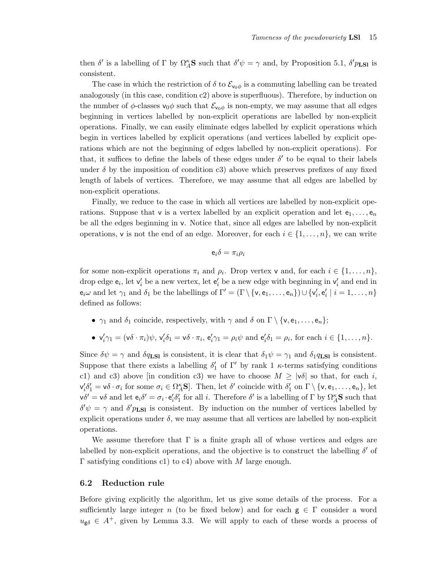then  $\delta'$  is a labelling of  $\Gamma$  by  $\Omega_A^{\kappa}$ **S** such that  $\delta'\psi = \gamma$  and, by Proposition 5.1,  $\delta'p_{LSl}$  is consistent.

The case in which the restriction of  $\delta$  to  $\mathcal{E}_{\nu_0\phi}$  is a commuting labelling can be treated analogously (in this case, condition c2) above is superfluous). Therefore, by induction on the number of  $\phi$ -classes  $v_0\phi$  such that  $\mathcal{E}_{v_0\phi}$  is non-empty, we may assume that all edges beginning in vertices labelled by non-explicit operations are labelled by non-explicit operations. Finally, we can easily eliminate edges labelled by explicit operations which begin in vertices labelled by explicit operations (and vertices labelled by explicit operations which are not the beginning of edges labelled by non-explicit operations). For that, it suffices to define the labels of these edges under  $\delta'$  to be equal to their labels under  $\delta$  by the imposition of condition c3) above which preserves prefixes of any fixed length of labels of vertices. Therefore, we may assume that all edges are labelled by non-explicit operations.

Finally, we reduce to the case in which all vertices are labelled by non-explicit operations. Suppose that v is a vertex labelled by an explicit operation and let  $e_1, \ldots, e_n$ be all the edges beginning in v. Notice that, since all edges are labelled by non-explicit operations, v is not the end of an edge. Moreover, for each  $i \in \{1, \ldots, n\}$ , we can write

$$
e_i\delta=\pi_i\rho_i
$$

for some non-explicit operations  $\pi_i$  and  $\rho_i$ . Drop vertex **v** and, for each  $i \in \{1, \ldots, n\}$ , drop edge  $e_i$ , let  $v'_i$  be a new vertex, let  $e'_i$  be a new edge with beginning in  $v'_i$  and end in  $e_i\omega$  and let  $\gamma_1$  and  $\delta_1$  be the labellings of  $\Gamma' = (\Gamma \setminus \{v, e_1, \ldots, e_n\}) \cup \{v'_i, e'_i \mid i = 1, \ldots, n\}$ defined as follows:

•  $\gamma_1$  and  $\delta_1$  coincide, respectively, with  $\gamma$  and  $\delta$  on  $\Gamma \setminus \{v, e_1, \ldots, e_n\};$ 

• 
$$
\mathbf{v}'_i\gamma_1 = (\mathbf{v}\delta \cdot \pi_i)\psi, \mathbf{v}'_i\delta_1 = \mathbf{v}\delta \cdot \pi_i, \mathbf{e}'_i\gamma_1 = \rho_i\psi \text{ and } \mathbf{e}'_i\delta_1 = \rho_i \text{, for each } i \in \{1, \ldots, n\}.
$$

Since  $\delta\psi = \gamma$  and  $\delta q_{\text{LSI}}$  is consistent, it is clear that  $\delta_1\psi = \gamma_1$  and  $\delta_1q_{\text{LSI}}$  is consistent. Suppose that there exists a labelling  $\delta'_1$  of  $\Gamma'$  by rank 1  $\kappa$ -terms satisfying conditions c1) and c3) above [in condition c3) we have to choose  $M \geq |\nu \delta|$  so that, for each i,  $\mathsf{v}'_i \delta'_1 = \mathsf{v} \delta \cdot \sigma_i$  for some  $\sigma_i \in \Omega_A^{\kappa} \mathbf{S}$ . Then, let  $\delta'$  coincide with  $\delta'_1$  on  $\Gamma \setminus {\mathsf{v}, \mathsf{e}_1, \ldots, \mathsf{e}_n}$ , let  $\mathsf{v}\delta' = \mathsf{v}\delta$  and let  $\mathsf{e}_i\delta' = \sigma_i \cdot \mathsf{e}'_i\delta'_1$  for all i. Therefore  $\delta'$  is a labelling of  $\Gamma$  by  $\Omega_A^{\kappa} \mathbf{S}$  such that  $\delta' \psi = \gamma$  and  $\delta' p_{LSl}$  is consistent. By induction on the number of vertices labelled by explicit operations under  $\delta$ , we may assume that all vertices are labelled by non-explicit operations.

We assume therefore that  $\Gamma$  is a finite graph all of whose vertices and edges are labelled by non-explicit operations, and the objective is to construct the labelling  $\delta'$  of Γ satisfying conditions c1) to c4) above with M large enough.

### 6.2 Reduction rule

Before giving explicitly the algorithm, let us give some details of the process. For a sufficiently large integer n (to be fixed below) and for each  $g \in \Gamma$  consider a word  $u_{\mathbf{g}\delta} \in A^+$ , given by Lemma 3.3. We will apply to each of these words a process of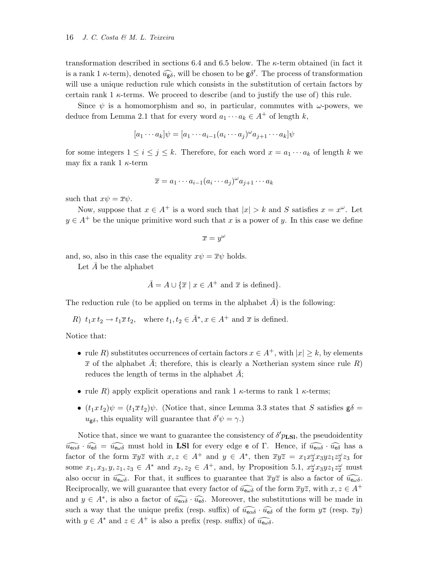transformation described in sections 6.4 and 6.5 below. The κ-term obtained (in fact it is a rank 1  $\kappa$ -term), denoted  $\widehat{u_{g\delta}}$ , will be chosen to be  $g\delta'$ . The process of transformation will use a unique reduction rule which consists in the substitution of certain factors by certain rank 1  $\kappa$ -terms. We proceed to describe (and to justify the use of) this rule.

Since  $\psi$  is a homomorphism and so, in particular, commutes with  $\omega$ -powers, we deduce from Lemma 2.1 that for every word  $a_1 \cdots a_k \in A^+$  of length k,

$$
[a_1\cdots a_k]\psi = [a_1\cdots a_{i-1}(a_i\cdots a_j)^{\omega}a_{j+1}\cdots a_k]\psi
$$

for some integers  $1 \leq i \leq j \leq k$ . Therefore, for each word  $x = a_1 \cdots a_k$  of length k we may fix a rank 1  $\kappa$ -term

$$
\overline{x} = a_1 \cdots a_{i-1} (a_i \cdots a_j)^{\omega} a_{j+1} \cdots a_k
$$

such that  $x\psi = \overline{x}\psi$ .

Now, suppose that  $x \in A^+$  is a word such that  $|x| > k$  and S satisfies  $x = x^{\omega}$ . Let  $y \in A^+$  be the unique primitive word such that x is a power of y. In this case we define

$$
\overline{x} = y^{\omega}
$$

and, so, also in this case the equality  $x\psi = \overline{x}\psi$  holds.

Let  $A$  be the alphabet

$$
\bar{A} = A \cup \{ \bar{x} \mid x \in A^+ \text{ and } \bar{x} \text{ is defined} \}.
$$

The reduction rule (to be applied on terms in the alphabet  $A$ ) is the following:

R)  $t_1x t_2 \rightarrow t_1\overline{x} t_2$ , where  $t_1, t_2 \in \overline{A}^*, x \in A^+$  and  $\overline{x}$  is defined.

Notice that:

- rule R) substitutes occurrences of certain factors  $x \in A^+$ , with  $|x| \geq k$ , by elements  $\bar{x}$  of the alphabet A; therefore, this is clearly a Nœtherian system since rule R) reduces the length of terms in the alphabet  $A$ ;
- rule R) apply explicit operations and rank 1  $\kappa$ -terms to rank 1  $\kappa$ -terms;
- $(t_1x t_2)\psi = (t_1\overline{x} t_2)\psi$ . (Notice that, since Lemma 3.3 states that S satisfies  $g\delta =$  $u_{\mathbf{g}\delta}$ , this equality will guarantee that  $\delta' \psi = \gamma$ .)

Notice that, since we want to guarantee the consistency of  $\delta' p_{LSl}$ , the pseudoidentity  $\widehat{u_{\mathsf{e}\alpha\delta}} \cdot \widehat{u_{\mathsf{e}\delta}} = \widehat{u_{\mathsf{e}\omega\delta}}$  must hold in LSI for every edge e of Γ. Hence, if  $\widehat{u_{\mathsf{e}\alpha\delta}} \cdot \widehat{u_{\mathsf{e}\delta}}$  has a factor of the form  $\overline{xyz}$  with  $x, z \in A^+$  and  $y \in A^*$ , then  $\overline{xyz} = x_1x_2^{\omega}x_3yz_1z_2^{\omega}z_3$  for some  $x_1, x_3, y, z_1, z_3 \in A^*$  and  $x_2, z_2 \in A^+$ , and, by Proposition 5.1,  $x_2^{\omega}x_3yz_1z_2^{\omega}$  must also occur in  $\widehat{u_{\epsilon\omega\delta}}$ . For that, it suffices to guarantee that  $\overline{x}y\overline{z}$  is also a factor of  $\widehat{u_{\epsilon\omega\delta}}$ . Reciprocally, we will guarantee that every factor of  $\widehat{u_{\mathsf{ew}}\delta}$  of the form  $\overline{x}y\overline{z}$ , with  $x, z \in A^+$ and  $y \in A^*$ , is also a factor of  $\widehat{u_{\mathbf{e}\alpha\delta}} \cdot \widehat{u_{\mathbf{e}\delta}}$ . Moreover, the substitutions will be made in such a way that the unique prefix (resp. suffix) of  $\widehat{u_{\epsilon\alpha\delta}} \cdot \widehat{u_{\epsilon\delta}}$  of the form  $y\overline{z}$  (resp.  $\overline{z}y$ ) with  $y \in A^*$  and  $z \in A^+$  is also a prefix (resp. suffix) of  $\widehat{u_{\mathsf{e}\omega\delta}}$ .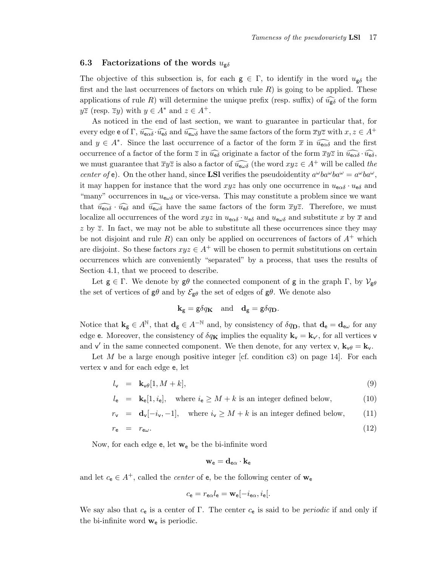### 6.3 Factorizations of the words  $u_{\sigma\delta}$

The objective of this subsection is, for each  $g \in \Gamma$ , to identify in the word  $u_{g\delta}$  the first and the last occurrences of factors on which rule  $R$ ) is going to be applied. These applications of rule R) will determine the unique prefix (resp. suffix) of  $\widehat{u_{\epsilon\delta}}$  of the form  $y\overline{z}$  (resp.  $\overline{z}y$ ) with  $y \in A^*$  and  $z \in A^+$ .

As noticed in the end of last section, we want to guarantee in particular that, for every edge e of Γ,  $\widehat{u_{\mathbf{e}\alpha\delta}}\cdot\widehat{u_{\mathbf{e}\delta}}$  and  $\widehat{u_{\mathbf{e}\omega\delta}}$  have the same factors of the form  $\overline{xyz}$  with  $x, z \in A^+$ and  $y \in A^*$ . Since the last occurrence of a factor of the form  $\overline{x}$  in  $\widehat{u_{\mathbf{e}\alpha\delta}}$  and the first occurrence of a factor of the form  $\overline{z}$  in  $\widehat{u_{\epsilon\delta}}$  originate a factor of the form  $\overline{xyz}$  in  $\widehat{u_{\epsilon\delta}}$ ,  $\widehat{u_{\epsilon\delta}}$ , we must guarantee that  $\overline{xyz}$  is also a factor of  $\widehat{u_{\epsilon\omega\delta}}$  (the word  $xyz \in A^+$  will be called the center of e). On the other hand, since **LSI** verifies the pseudoidentity  $a^{\omega}ba^{\omega}ba^{\omega} = a^{\omega}ba^{\omega}$ , it may happen for instance that the word xyz has only one occurrence in  $u_{\mathbf{e}\alpha\delta} \cdot u_{\mathbf{e}\delta}$  and "many" occurrences in  $u_{\epsilon\omega\delta}$  or vice-versa. This may constitute a problem since we want that  $\widehat{u_{\mathbf{e}\alpha\delta}} \cdot \widehat{u_{\mathbf{e}\delta}}$  and  $\widehat{u_{\mathbf{e}\omega\delta}}$  have the same factors of the form  $\overline{x}y\overline{z}$ . Therefore, we must localize all occurrences of the word  $xyz$  in  $u_{\epsilon\alpha\delta} \cdot u_{\epsilon\delta}$  and  $u_{\epsilon\omega\delta}$  and substitute x by  $\bar{x}$  and z by  $\overline{z}$ . In fact, we may not be able to substitute all these occurrences since they may be not disjoint and rule R) can only be applied on occurrences of factors of  $A^+$  which are disjoint. So these factors  $xyz \in A^+$  will be chosen to permit substitutions on certain occurrences which are conveniently "separated" by a process, that uses the results of Section 4.1, that we proceed to describe.

Let  $g \in \Gamma$ . We denote by  $g\theta$  the connected component of g in the graph  $\Gamma$ , by  $\mathcal{V}_{g\theta}$ the set of vertices of  $g\theta$  and by  $\mathcal{E}_{g\theta}$  the set of edges of  $g\theta$ . We denote also

$$
\mathbf{k}_{\mathbf{g}} = \mathbf{g} \delta q_{\mathbf{K}} \quad \text{and} \quad \mathbf{d}_{\mathbf{g}} = \mathbf{g} \delta q_{\mathbf{D}}.
$$

Notice that  $\mathbf{k}_{g} \in A^{\mathbb{N}}$ , that  $\mathbf{d}_{g} \in A^{-\mathbb{N}}$  and, by consistency of  $\delta q_{\mathbf{D}}$ , that  $\mathbf{d}_{e} = \mathbf{d}_{e\omega}$  for any edge e. Moreover, the consistency of  $\delta q_{\mathbf{K}}$  implies the equality  $\mathbf{k}_{v} = \mathbf{k}_{v'}$ , for all vertices v and  $v'$  in the same connected component. We then denote, for any vertex  $v, k_v \theta = k_v$ .

Let M be a large enough positive integer [cf. condition c3) on page 14]. For each vertex v and for each edge e, let

$$
l_{\mathbf{v}} = \mathbf{k}_{\mathbf{v}\theta}[1, M+k],\tag{9}
$$

$$
l_{\mathsf{e}} = \mathbf{k}_{\mathsf{e}}[1, i_{\mathsf{e}}], \quad \text{where } i_{\mathsf{e}} \ge M + k \text{ is an integer defined below}, \tag{10}
$$

$$
r_v = d_v[-i_v, -1]
$$
, where  $i_v \ge M + k$  is an integer defined below, (11)

$$
r_{\rm e} = r_{\rm e\omega}.\tag{12}
$$

Now, for each edge  $e$ , let  $w_e$  be the bi-infinite word

$$
\mathbf{w}_{\mathsf{e}} = \mathbf{d}_{\mathsf{e}\alpha} \cdot \mathbf{k}_{\mathsf{e}}
$$

and let  $c_{e} \in A^{+}$ , called the *center* of **e**, be the following center of  $\mathbf{w}_{e}$ 

$$
c_{\mathbf{e}} = r_{\mathbf{e}\alpha} l_{\mathbf{e}} = \mathbf{w}_{\mathbf{e}} [-i_{\mathbf{e}\alpha}, i_{\mathbf{e}}].
$$

We say also that  $c_{e}$  is a center of Γ. The center  $c_{e}$  is said to be *periodic* if and only if the bi-infinite word  $w_e$  is periodic.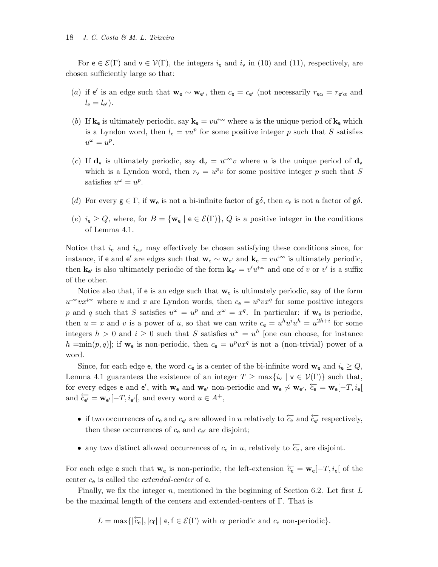For  $e \in \mathcal{E}(\Gamma)$  and  $v \in \mathcal{V}(\Gamma)$ , the integers  $i_e$  and  $i_v$  in (10) and (11), respectively, are chosen sufficiently large so that:

- (a) if e' is an edge such that  $\mathbf{w}_e \sim \mathbf{w}_{e'}$ , then  $c_e = c_{e'}$  (not necessarily  $r_{e\alpha} = r_{e'\alpha}$  and  $l_{\mathsf{e}}=l_{\mathsf{e}'}).$
- (b) If  $\mathbf{k}_e$  is ultimately periodic, say  $\mathbf{k}_e = vu^{+\infty}$  where u is the unique period of  $\mathbf{k}_e$  which is a Lyndon word, then  $l_e = vu^p$  for some positive integer p such that S satisfies  $u^{\omega} = u^p.$
- (c) If  $\mathbf{d}_{\mathbf{v}}$  is ultimately periodic, say  $\mathbf{d}_{\mathbf{v}} = u^{-\infty}v$  where u is the unique period of  $\mathbf{d}_{\mathbf{v}}$ which is a Lyndon word, then  $r_v = u^p v$  for some positive integer p such that S satisfies  $u^{\omega} = u^p$ .
- (d) For every  $g \in \Gamma$ , if  $w_e$  is not a bi-infinite factor of  $g\delta$ , then  $c_e$  is not a factor of  $g\delta$ .
- (e)  $i_e \ge Q$ , where, for  $B = \{w_e \mid e \in \mathcal{E}(\Gamma)\}\$ , Q is a positive integer in the conditions of Lemma 4.1.

Notice that  $i_e$  and  $i_{e\omega}$  may effectively be chosen satisfying these conditions since, for instance, if e and e' are edges such that  $w_e \sim w_{e'}$  and  $k_e = v u^{+\infty}$  is ultimately periodic, then  $\mathbf{k}_{e'}$  is also ultimately periodic of the form  $\mathbf{k}_{e'} = v'u^{+\infty}$  and one of v or v' is a suffix of the other.

Notice also that, if e is an edge such that  $w_e$  is ultimately periodic, say of the form  $u^{\infty}vx^{\dagger\infty}$  where u and x are Lyndon words, then  $c_{e} = u^{p}vx^{q}$  for some positive integers p and q such that S satisfies  $u^{\omega} = u^p$  and  $x^{\omega} = x^q$ . In particular: if  $\mathbf{w}_e$  is periodic, then  $u = x$  and v is a power of u, so that we can write  $c_e = u^h u^i u^h = u^{2h+i}$  for some integers  $h > 0$  and  $i \geq 0$  such that S satisfies  $u^{\omega} = u^h$  [one can choose, for instance  $h = min(p, q)$ ; if  $\mathbf{w}_e$  is non-periodic, then  $c_e = u^p v x^q$  is not a (non-trivial) power of a word.

Since, for each edge e, the word  $c_e$  is a center of the bi-infinite word  $\mathbf{w}_e$  and  $i_e \geq Q$ , Lemma 4.1 guarantees the existence of an integer  $T \ge \max\{i_{\mathbf{v}} \mid \mathbf{v} \in \mathcal{V}(\Gamma)\}\$  such that, for every edges e and e', with  $\mathbf{w}_e$  and  $\mathbf{w}_{e'}$  non-periodic and  $\mathbf{w}_e \not\sim \mathbf{w}_{e'}$ ,  $\overleftarrow{c}_e = \mathbf{w}_e[-T, i_e]$ and  $\overleftarrow{c_{e'}} = \mathbf{w}_{e'}[-T, i_{e'}],$  and every word  $u \in A^+,$ 

- if two occurrences of  $c_e$  and  $c_{e'}$  are allowed in u relatively to  $\overleftarrow{c_e}$  and  $\overleftarrow{c_{e'}}$  respectively, then these occurrences of  $c_{e}$  and  $c_{e'}$  are disjoint;
- any two distinct allowed occurrences of  $c_{e}$  in u, relatively to  $\overleftarrow{c_{e}}$ , are disjoint.

For each edge e such that  $w_e$  is non-periodic, the left-extension  $\overleftarrow{c_e} = w_e[-T, i_e]$  of the center  $c_e$  is called the *extended-center* of  $e$ .

Finally, we fix the integer n, mentioned in the beginning of Section 6.2. Let first  $L$ be the maximal length of the centers and extended-centers of Γ. That is

 $L = \max\{|\overleftarrow{c_e}|, |c_f| \mid e, f \in \mathcal{E}(\Gamma) \text{ with } c_f \text{ periodic and } c_e \text{ non-periodic}\}.$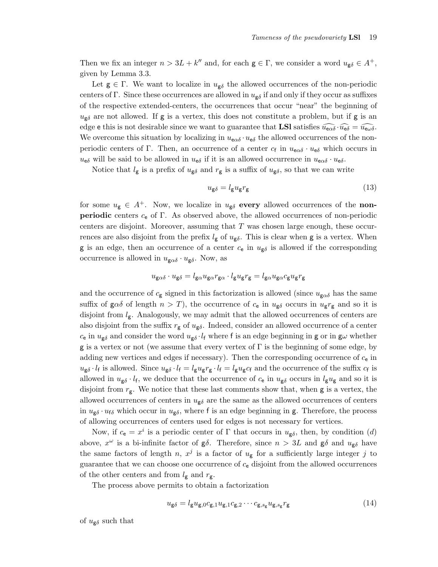Then we fix an integer  $n > 3L + k''$  and, for each  $g \in \Gamma$ , we consider a word  $u_{g\delta} \in A^+$ , given by Lemma 3.3.

Let  $g \in \Gamma$ . We want to localize in  $u_{g\delta}$  the allowed occurrences of the non-periodic centers of Γ. Since these occurrences are allowed in  $u_{\varepsilon\delta}$  if and only if they occur as suffixes of the respective extended-centers, the occurrences that occur "near" the beginning of  $u_{\mathbf{g}\delta}$  are not allowed. If  $\mathbf{g}$  is a vertex, this does not constitute a problem, but if  $\mathbf{g}$  is an edge e this is not desirable since we want to guarantee that **LSI** satisfies  $\widehat{u_{\epsilon\alpha\delta}} \cdot \widehat{u_{\epsilon\delta}} = \widehat{u_{\epsilon\omega\delta}}$ . We overcome this situation by localizing in  $u_{\epsilon\alpha\delta} \cdot u_{\epsilon\delta}$  the allowed occurrences of the nonperiodic centers of Γ. Then, an occurrence of a center  $c_f$  in  $u_{\text{e}\alpha\delta} \cdot u_{\text{e}\delta}$  which occurs in  $u_{\epsilon\delta}$  will be said to be allowed in  $u_{\epsilon\delta}$  if it is an allowed occurrence in  $u_{\epsilon\alpha\delta} \cdot u_{\epsilon\delta}$ .

Notice that  $l_g$  is a prefix of  $u_{g\delta}$  and  $r_g$  is a suffix of  $u_{g\delta}$ , so that we can write

$$
u_{\mathbf{g}\delta} = l_{\mathbf{g}} u_{\mathbf{g}} r_{\mathbf{g}} \tag{13}
$$

for some  $u_{\mathbf{g}} \in A^+$ . Now, we localize in  $u_{\mathbf{g}\delta}$  every allowed occurrences of the non**periodic** centers  $c_e$  of Γ. As observed above, the allowed occurrences of non-periodic centers are disjoint. Moreover, assuming that T was chosen large enough, these occurrences are also disjoint from the prefix  $l_{\mathbf{g}}$  of  $u_{\mathbf{g}\delta}$ . This is clear when **g** is a vertex. When g is an edge, then an occurrence of a center  $c_e$  in  $u_{\text{g}\delta}$  is allowed if the corresponding occurrence is allowed in  $u_{\mathbf{g}\alpha\delta} \cdot u_{\mathbf{g}\delta}$ . Now, as

$$
u_{\mathbf{g}\alpha\delta}\cdot u_{\mathbf{g}\delta}=l_{\mathbf{g}\alpha}u_{\mathbf{g}\alpha}r_{\mathbf{g}\alpha}\cdot l_{\mathbf{g}}u_{\mathbf{g}}r_{\mathbf{g}}=l_{\mathbf{g}\alpha}u_{\mathbf{g}\alpha}c_{\mathbf{g}}u_{\mathbf{g}}r_{\mathbf{g}}
$$

and the occurrence of  $c_{\mathbf{g}}$  signed in this factorization is allowed (since  $u_{\mathbf{g}\alpha\delta}$  has the same suffix of g $\alpha\delta$  of length  $n > T$ ), the occurrence of  $c_e$  in  $u_{\mathbf{g}\delta}$  occurs in  $u_{\mathbf{g}}r_{\mathbf{g}}$  and so it is disjoint from  $l_{\rm g}$ . Analogously, we may admit that the allowed occurrences of centers are also disjoint from the suffix  $r_g$  of  $u_{g\delta}$ . Indeed, consider an allowed occurrence of a center  $c_{\rm e}$  in  $u_{\rm g\delta}$  and consider the word  $u_{\rm g\delta} \cdot l_{\rm f}$  where f is an edge beginning in g or in gw whether g is a vertex or not (we assume that every vertex of  $\Gamma$  is the beginning of some edge, by adding new vertices and edges if necessary). Then the corresponding occurrence of  $c_{e}$  in  $u_{\mathbf{g}\delta} \cdot l_{\mathbf{f}}$  is allowed. Since  $u_{\mathbf{g}\delta} \cdot l_{\mathbf{f}} = l_{\mathbf{g}} u_{\mathbf{g}} r_{\mathbf{g}} \cdot l_{\mathbf{f}} = l_{\mathbf{g}} u_{\mathbf{g}} c_{\mathbf{f}}$  and the occurrence of the suffix  $c_{\mathbf{f}}$  is allowed in  $u_{\mathbf{g}\delta} \cdot l_{\mathbf{f}}$ , we deduce that the occurrence of  $c_{\mathbf{e}}$  in  $u_{\mathbf{g}\delta}$  occurs in  $l_{\mathbf{g}}u_{\mathbf{g}}$  and so it is disjoint from  $r_g$ . We notice that these last comments show that, when g is a vertex, the allowed occurrences of centers in  $u_{\mathbf{g}\delta}$  are the same as the allowed occurrences of centers in  $u_{\mathbf{g}\delta} \cdot u_{\mathbf{f}\delta}$  which occur in  $u_{\mathbf{g}\delta}$ , where f is an edge beginning in g. Therefore, the process of allowing occurrences of centers used for edges is not necessary for vertices.

Now, if  $c_e = x^i$  is a periodic center of  $\Gamma$  that occurs in  $u_{\mathbf{g}\delta}$ , then, by condition (d) above,  $x^{\omega}$  is a bi-infinite factor of  $g\delta$ . Therefore, since  $n > 3L$  and  $g\delta$  and  $u_{g\delta}$  have the same factors of length n,  $x^j$  is a factor of  $u_{\rm g}$  for a sufficiently large integer j to guarantee that we can choose one occurrence of  $c_{e}$  disjoint from the allowed occurrences of the other centers and from  $l_{\rm g}$  and  $r_{\rm g}$ .

The process above permits to obtain a factorization

$$
u_{\mathbf{g}\delta} = l_{\mathbf{g}} u_{\mathbf{g},0} c_{\mathbf{g},1} u_{\mathbf{g},1} c_{\mathbf{g},2} \cdots c_{\mathbf{g},s_{\mathbf{g}}} u_{\mathbf{g},s_{\mathbf{g}}} r_{\mathbf{g}}
$$
(14)

of  $u_{\mathbf{g}\delta}$  such that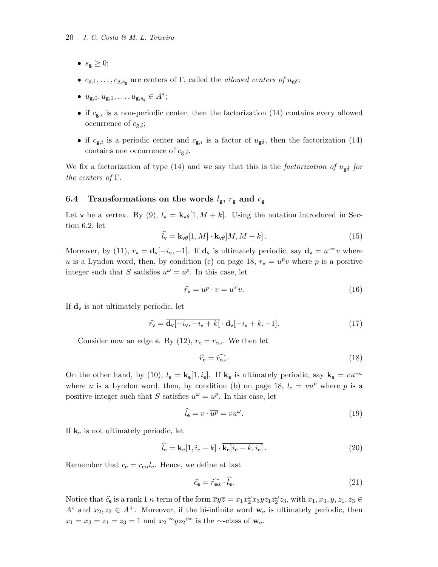- $s_{\mathbf{g}} \geq 0;$
- $c_{g,1}, \ldots, c_{g,s_g}$  are centers of Γ, called the *allowed centers of*  $u_{g\delta}$ ;
- $u_{\mathsf{g},0}, u_{\mathsf{g},1}, \ldots, u_{\mathsf{g},s_{\mathsf{g}}}\in A^*;$
- if  $c_{g,i}$  is a non-periodic center, then the factorization (14) contains every allowed occurrence of  $c_{\mathbf{g},i}$ ;
- if  $c_{g,i}$  is a periodic center and  $c_{g,i}$  is a factor of  $u_{g\delta}$ , then the factorization (14) contains one occurrence of  $c_{\mathbf{g},i}$ .

We fix a factorization of type (14) and we say that this is the factorization of  $u_{\mathbf{g}\delta}$  for the centers of  $\Gamma$ .

## 6.4 Transformations on the words  $l_{\rm g}$ ,  $r_{\rm g}$  and  $c_{\rm g}$

Let v be a vertex. By (9),  $l_{\mathbf{v}} = \mathbf{k}_{\mathbf{v}\theta}[1, M + k]$ . Using the notation introduced in Section 6.2, let

$$
\widehat{l}_{\mathsf{v}} = \mathbf{k}_{\mathsf{v}\theta}[1, M] \cdot \overline{\mathbf{k}_{\mathsf{v}\theta}[M, M+k]} \,. \tag{15}
$$

Moreover, by (11),  $r_v = \mathbf{d}_v[-i_v, -1]$ . If  $\mathbf{d}_v$  is ultimately periodic, say  $\mathbf{d}_v = u^{-\infty}v$  where u is a Lyndon word, then, by condition (c) on page 18,  $r_v = u^p v$  where p is a positive integer such that S satisfies  $u^{\omega} = u^{p}$ . In this case, let

$$
\widehat{r_v} = \overline{u^p} \cdot v = u^\omega v. \tag{16}
$$

If  $\mathbf{d}_{\mathsf{v}}$  is not ultimately periodic, let

$$
\widehat{r}_{\mathsf{v}} = \overline{\mathbf{d}_{\mathsf{v}}[-i_{\mathsf{v}}, -i_{\mathsf{v}} + k]} \cdot \mathbf{d}_{\mathsf{v}}[-i_{\mathsf{v}} + k, -1]. \tag{17}
$$

Consider now an edge e. By (12),  $r_e = r_{e\omega}$ . We then let

$$
\widehat{r}_{\mathsf{e}} = \widehat{r_{\mathsf{e}\omega}}.\tag{18}
$$

On the other hand, by (10),  $l_e = \mathbf{k}_e[1, i_e]$ . If  $\mathbf{k}_e$  is ultimately periodic, say  $\mathbf{k}_e = v u^{+\infty}$ where u is a Lyndon word, then, by condition (b) on page 18,  $l_e = vu^p$  where p is a positive integer such that S satisfies  $u^{\omega} = u^{p}$ . In this case, let

$$
\widehat{l}_{\mathbf{e}} = v \cdot \overline{u^p} = v u^\omega. \tag{19}
$$

If  $k_e$  is not ultimately periodic, let

$$
\hat{l}_{\mathbf{e}} = \mathbf{k}_{\mathbf{e}}[1, i_{\mathbf{e}} - k] \cdot \overline{\mathbf{k}_{\mathbf{e}}|i_{\mathbf{e}} - k, i_{\mathbf{e}}]}.
$$
\n(20)

Remember that  $c_e = r_{e\alpha}l_e$ . Hence, we define at last

$$
\widehat{c}_{\mathbf{e}} = \widehat{r_{\mathbf{e}\alpha}} \cdot \widehat{l}_{\mathbf{e}}.\tag{21}
$$

Notice that  $\hat{c}_e$  is a rank 1  $\kappa$ -term of the form  $\overline{xyz} = x_1x_2^{\omega}x_3yz_1z_2^{\omega}z_3$ , with  $x_1, x_3, y, z_1, z_3 \in$  $A^*$  and  $x_2, z_2 \in A^+$ . Moreover, if the bi-infinite word  $\mathbf{w}_e$  is ultimately periodic, then  $x_1 = x_3 = z_1 = z_3 = 1$  and  $x_2^{-\infty} y z_2^{+\infty}$  is the ~-class of  $\mathbf{w}_e$ .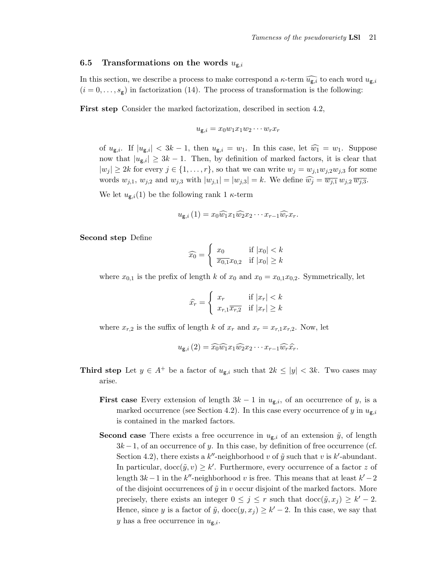### 6.5 Transformations on the words  $u_{g,i}$

In this section, we describe a process to make correspond a  $\kappa$ -term  $\widehat{u_{g,i}}$  to each word  $u_{g,i}$  $(i = 0, \ldots, s_g)$  in factorization (14). The process of transformation is the following:

First step Consider the marked factorization, described in section 4.2,

$$
u_{\mathbf{g},i} = x_0 w_1 x_1 w_2 \cdots w_r x_r
$$

of  $u_{\mathbf{g},i}$ . If  $|u_{\mathbf{g},i}| < 3k-1$ , then  $u_{\mathbf{g},i} = w_1$ . In this case, let  $\widehat{w_1} = w_1$ . Suppose now that  $|u_{\mathbf{g},i}| \geq 3k-1$ . Then, by definition of marked factors, it is clear that  $|w_j| \geq 2k$  for every  $j \in \{1, \ldots, r\}$ , so that we can write  $w_j = w_{j,1}w_{j,2}w_{j,3}$  for some words  $w_{j,1}, w_{j,2}$  and  $w_{j,3}$  with  $|w_{j,1}| = |w_{j,3}| = k$ . We define  $\widehat{w_j} = \overline{w_{j,1}} w_{j,2} \overline{w_{j,3}}$ .

We let  $u_{\mathbf{g},i}(1)$  be the following rank 1  $\kappa$ -term

$$
u_{\mathbf{g},i}(1) = x_0 \widehat{w_1} x_1 \widehat{w_2} x_2 \cdots x_{r-1} \widehat{w_r} x_r.
$$

Second step Define

$$
\widehat{x_0} = \begin{cases} x_0 & \text{if } |x_0| < k \\ \overline{x_{0,1}} x_{0,2} & \text{if } |x_0| \ge k \end{cases}
$$

where  $x_{0,1}$  is the prefix of length k of  $x_0$  and  $x_0 = x_{0,1}x_{0,2}$ . Symmetrically, let

$$
\hat{x_r} = \begin{cases} x_r & \text{if } |x_r| < k\\ x_{r,1}\overline{x_{r,2}} & \text{if } |x_r| \ge k \end{cases}
$$

where  $x_{r,2}$  is the suffix of length k of  $x_r$  and  $x_r = x_{r,1}x_{r,2}$ . Now, let

$$
u_{\mathbf{g},i}\left(2\right) = \widehat{x_0}\widehat{w_1}x_1\widehat{w_2}x_2\cdots x_{r-1}\widehat{w_r}\widehat{x_r}.
$$

- **Third step** Let  $y \in A^+$  be a factor of  $u_{g,i}$  such that  $2k \le |y| < 3k$ . Two cases may arise.
	- **First case** Every extension of length  $3k 1$  in  $u_{\text{g},i}$ , of an occurrence of y, is a marked occurrence (see Section 4.2). In this case every occurrence of y in  $u_{g,i}$ is contained in the marked factors.
	- **Second case** There exists a free occurrence in  $u_{\mathbf{g},i}$  of an extension  $\tilde{y}$ , of length  $3k-1$ , of an occurrence of y. In this case, by definition of free occurrence (cf. Section 4.2), there exists a  $k''$ -neighborhood v of  $\tilde{y}$  such that v is  $k'$ -abundant. In particular,  $\text{doc}(\tilde{y}, v) \geq k'$ . Furthermore, every occurrence of a factor z of length  $3k-1$  in the k"-neighborhood v is free. This means that at least  $k'-2$ of the disjoint occurrences of  $\tilde{y}$  in v occur disjoint of the marked factors. More precisely, there exists an integer  $0 \leq j \leq r$  such that  $\text{doc}(\tilde{y}, x_j) \geq k'-2$ . Hence, since y is a factor of  $\tilde{y}$ ,  $\text{doc}(y, x_j) \geq k' - 2$ . In this case, we say that y has a free occurrence in  $u_{\mathbf{g},i}$ .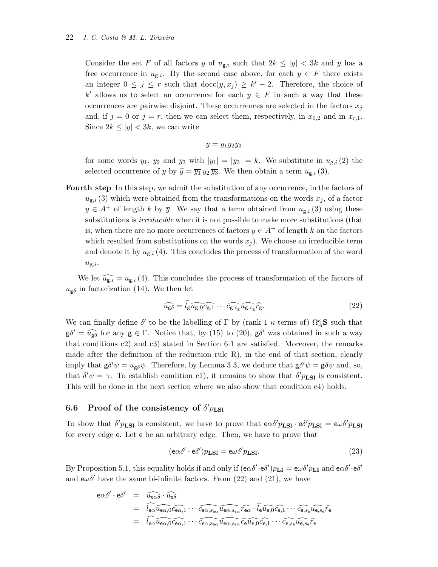Consider the set F of all factors y of  $u_{g,i}$  such that  $2k \leq |y| < 3k$  and y has a free occurrence in  $u_{g,i}$ . By the second case above, for each  $y \in F$  there exists an integer  $0 \leq j \leq r$  such that  $\text{doc}(y, x_j) \geq k' - 2$ . Therefore, the choice of k' allows us to select an occurrence for each  $y \in F$  in such a way that these occurrences are pairwise disjoint. These occurrences are selected in the factors  $x_j$ and, if  $j = 0$  or  $j = r$ , then we can select them, respectively, in  $x_{0,2}$  and in  $x_{r,1}$ . Since  $2k \le |y| < 3k$ , we can write

$$
y=y_1y_2y_3
$$

for some words  $y_1, y_2$  and  $y_3$  with  $|y_1| = |y_3| = k$ . We substitute in  $u_{\mathsf{g},i}(2)$  the selected occurrence of y by  $\hat{y} = \overline{y_1} y_2 \overline{y_3}$ . We then obtain a term  $u_{\mathbf{g},i}$  (3).

Fourth step In this step, we admit the substitution of any occurrence, in the factors of  $u_{\mathbf{g},i}$  (3) which were obtained from the transformations on the words  $x_j$ , of a factor  $y \in A^+$  of length k by  $\overline{y}$ . We say that a term obtained from  $u_{\mathbf{g},i}$  (3) using these substitutions is *irreducible* when it is not possible to make more substitutions (that is, when there are no more occurrences of factors  $y \in A^+$  of length k on the factors which resulted from substitutions on the words  $x_j$ ). We choose an irreducible term and denote it by  $u_{\mathbf{g},i}$  (4). This concludes the process of transformation of the word  $u_{\mathsf{g},i}$ .

We let  $\widehat{u_{g,i}} = u_{g,i} (4)$ . This concludes the process of transformation of the factors of  $u_{\mathbf{g}\delta}$  in factorization (14). We then let

$$
\widehat{u_{\mathsf{g}\delta}} = \widehat{l_{\mathsf{g}}\widehat{u_{\mathsf{g},0}c_{\mathsf{g},1}}\cdots\widehat{c_{\mathsf{g},s_{\mathsf{g}}}\widehat{u_{\mathsf{g},s_{\mathsf{g}}}}\widehat{r_{\mathsf{g}}}.\tag{22}
$$

We can finally define  $\delta'$  to be the labelling of  $\Gamma$  by (rank 1  $\kappa$ -terms of)  $\Omega_A^{\kappa}$ **S** such that  $\mathsf{g}\delta' = \widehat{u_{\mathsf{g}\delta}}$  for any  $\mathsf{g} \in \Gamma$ . Notice that, by (15) to (20),  $\mathsf{g}\delta'$  was obtained in such a way that conditions c2) and c3) stated in Section 6.1 are satisfied. Moreover, the remarks made after the definition of the reduction rule R), in the end of that section, clearly imply that  $g \delta' \psi = u_{g} \delta \psi$ . Therefore, by Lemma 3.3, we deduce that  $g \delta' \psi = g \delta \psi$  and, so, that  $\delta' \psi = \gamma$ . To establish condition c1), it remains to show that  $\delta' p_{LS1}$  is consistent. This will be done in the next section where we also show that condition c4) holds.

# 6.6 Proof of the consistency of  $\delta'p_{LSl}$

To show that  $\delta' p_{LSl}$  is consistent, we have to prove that  $e \alpha \delta' p_{LSl} \cdot e \delta' p_{LSl} = e \omega \delta' p_{LSl}$ for every edge e. Let e be an arbitrary edge. Then, we have to prove that

$$
(\mathbf{e}\alpha\delta'\cdot\mathbf{e}\delta')p_{\mathbf{LSI}} = \mathbf{e}\omega\delta'p_{\mathbf{LSI}}.\tag{23}
$$

By Proposition 5.1, this equality holds if and only if  $(e\alpha\delta'\cdot e\delta')p_{LI} = e\omega\delta'p_{LI}$  and  $e\alpha\delta'\cdot e\delta'$ and  $e\omega\delta'$  have the same bi-infinite factors. From (22) and (21), we have

$$
\begin{array}{lcl} \mathbf{e}\alpha\delta'\cdot\mathbf{e}\delta' & = & \widehat{u_{\mathbf{e}\alpha\delta}}\cdot\widehat{u_{\mathbf{e}\delta}} \\ & = & \widehat{l_{\mathbf{e}\alpha}\widehat{u_{\mathbf{e}\alpha,0}c_{\mathbf{e}\alpha,1}}\cdots\widehat{c_{\mathbf{e}\alpha,s_{\mathbf{e}\alpha}}\widehat{u_{\mathbf{e}\alpha,s_{\mathbf{e}\alpha}}\widehat{r_{\mathbf{e}\alpha}}}\cdot\widehat{l_{\mathbf{e}}\widehat{u_{\mathbf{e},0}c_{\mathbf{e},1}}\cdots\widehat{c_{\mathbf{e},s_{\mathbf{e}}}\widehat{u_{\mathbf{e},s_{\mathbf{e}}\widehat{r_{\mathbf{e}}}}}} \\ & = & \widehat{l_{\mathbf{e}\alpha}\widehat{u_{\mathbf{e}\alpha,0}c_{\mathbf{e}\alpha,1}}\cdots\widehat{c_{\mathbf{e}\alpha,s_{\mathbf{e}\alpha}}\widehat{u_{\mathbf{e}\alpha,s_{\mathbf{e}\alpha}}\widehat{c_{\mathbf{e}}\widehat{u_{\mathbf{e},0}c_{\mathbf{e},1}}}\cdots\widehat{c_{\mathbf{e},s_{\mathbf{e}}}\widehat{u_{\mathbf{e},s_{\mathbf{e}}\widehat{r_{\mathbf{e}}}}}}\end{array}
$$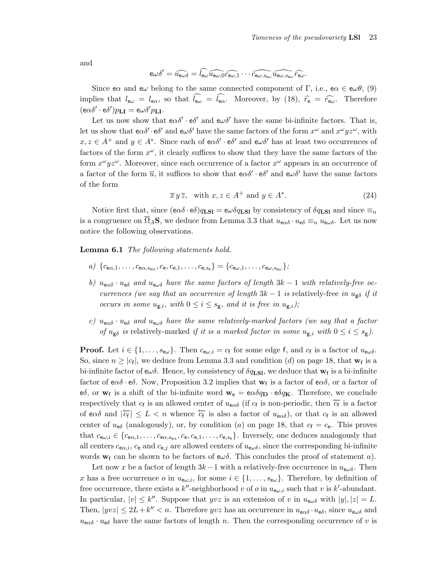and

$$
\mathsf{e}\omega\delta'=\widehat{\mathit{u}_{\mathsf{e}\omega\delta}}=\widehat{\mathit{l}_{\mathsf{e}\omega}\mathit{u}_{\mathsf{e}\omega,0}}\widehat{\mathit{c}_{\mathsf{e}\omega,1}}\cdots\widehat{\mathit{c}_{\mathsf{e}\omega,s_{\mathsf{e}\omega}}\mathit{u}_{\mathsf{e}\omega,s_{\mathsf{e}\omega}}}\widehat{\mathit{r}_{\mathsf{e}\omega}}.
$$

Since e $\alpha$  and e $\omega$  belong to the same connected component of Γ, i.e., e $\alpha \in \alpha \theta$ , (9) implies that  $l_{\mathsf{e}\omega} = l_{\mathsf{e}\alpha}$ , so that  $\widehat{l_{\mathsf{e}\omega}} = \widehat{l_{\mathsf{e}\alpha}}$ . Moreover, by (18),  $\widehat{r}_{\mathsf{e}} = \widehat{r_{\mathsf{e}\omega}}$ . Therefore  $(\mbox{e} \alpha \delta' \cdot \mbox{e} \delta') p_{\mathbf{L} \mathbf{I}} = \mbox{e} \omega \delta' p_{\mathbf{L} \mathbf{I}}.$ 

Let us now show that  $e\alpha\delta' \cdot e\delta'$  and  $e\alpha\delta'$  have the same bi-infinite factors. That is, let us show that  $e\alpha\delta' \cdot e\delta'$  and  $e\alpha\delta'$  have the same factors of the form  $x^{\omega}$  and  $x^{\omega}yz^{\omega}$ , with  $x, z \in A^+$  and  $y \in A^*$ . Since each of  $e \alpha \delta' \cdot e \delta'$  and  $e \omega \delta'$  has at least two occurrences of factors of the form  $x^{\omega}$ , it clearly suffices to show that they have the same factors of the form  $x^{\omega}yz^{\omega}$ . Moreover, since each occurrence of a factor  $x^{\omega}$  appears in an occurrence of a factor of the form  $\overline{u}$ , it suffices to show that  $e\alpha\delta' \cdot e\delta'$  and  $e\omega\delta'$  have the same factors of the form

$$
\overline{x}\,y\,\overline{z}
$$
, with  $x, z \in A^+$  and  $y \in A^*$ . (24)

Notice first that, since  $(e\alpha\delta \cdot e\delta)q_{\text{LSI}} = e\omega\delta q_{\text{LSI}}$  by consistency of  $\delta q_{\text{LSI}}$  and since  $\equiv_n$ is a congruence on  $\Omega_A$ S, we deduce from Lemma 3.3 that  $u_{\alpha\delta} \cdot u_{\epsilon\delta} \equiv_n u_{\epsilon\omega\delta}$ . Let us now notice the following observations.

Lemma 6.1 The following statements hold.

- a)  ${c_{\mathsf{e}\alpha,1}, \ldots, c_{\mathsf{e}\alpha, s_{\mathsf{e}\alpha}}, c_{\mathsf{e}}, c_{\mathsf{e},1}, \ldots, c_{\mathsf{e}, s_{\mathsf{e}}}} = {c_{\mathsf{e}\omega,1}, \ldots, c_{\mathsf{e}\omega, s_{\mathsf{e}\omega}}};$
- b)  $u_{\mathbf{e}\alpha\delta} \cdot u_{\mathbf{e}\delta}$  and  $u_{\mathbf{e}\omega\delta}$  have the same factors of length  $3k-1$  with relatively-free occurrences (we say that an occurrence of length  $3k - 1$  is relatively-free in  $u_{\mathbf{g}\delta}$  if it occurs in some  $u_{g,i}$ , with  $0 \leq i \leq s_g$ , and it is free in  $u_{g,i}$ );
- c)  $u_{\mathbf{e}\alpha\delta} \cdot u_{\mathbf{e}\delta}$  and  $u_{\mathbf{e}\omega\delta}$  have the same relatively-marked factors (we say that a factor of  $u_{\mathsf{g}\delta}$  is relatively-marked if it is a marked factor in some  $u_{\mathsf{g},i}$  with  $0 \le i \le s_{\mathsf{g}}$ ).

**Proof.** Let  $i \in \{1, \ldots, s_{e\omega}\}\$ . Then  $c_{e\omega,i} = c_f$  for some edge f, and  $c_f$  is a factor of  $u_{e\omega\delta}$ . So, since  $n \geq |c_f|$ , we deduce from Lemma 3.3 and condition (d) on page 18, that  $w_f$  is a bi-infinite factor of  $e\omega\delta$ . Hence, by consistency of  $\delta q_{\text{LSI}}$ , we deduce that  $\mathbf{w}_f$  is a bi-infinite factor of  $e\alpha\delta \cdot e\delta$ . Now, Proposition 3.2 implies that  $w_f$  is a factor of  $e\alpha\delta$ , or a factor of eδ, or  $w_f$  is a shift of the bi-infinite word  $w_e = e\alpha \delta q_D \cdot e \delta q_K$ . Therefore, we conclude respectively that  $c_f$  is an allowed center of  $u_{e\alpha\delta}$  (if  $c_f$  is non-periodic, then  $\overleftarrow{c_f}$  is a factor of eas and  $|\overleftarrow{c_f}| \leq L < n$  whence  $\overleftarrow{c_f}$  is also a factor of  $u_{\alpha\delta}$ ), or that  $c_f$  is an allowed center of  $u_{e\delta}$  (analogously), or, by condition (a) on page 18, that  $c_f = c_e$ . This proves that  $c_{e\omega,i} \in \{c_{e\alpha,1}, \ldots, c_{e\alpha,s_{e\alpha}}, c_{e}, c_{e,1}, \ldots, c_{e,s_e}\}.$  Inversely, one deduces analogously that all centers  $c_{\mathbf{e}\alpha,i}$ ,  $c_{\mathbf{e}}$  and  $c_{\mathbf{e},j}$  are allowed centers of  $u_{\mathbf{e}\omega\delta}$ , since the corresponding bi-infinite words  $w_f$  can be shown to be factors of  $e\omega\delta$ . This concludes the proof of statement a).

Let now x be a factor of length  $3k-1$  with a relatively-free occurrence in  $u_{e\omega\delta}$ . Then x has a free occurrence o in  $u_{\epsilon\omega,i}$ , for some  $i \in \{1,\ldots,s_{\epsilon\omega}\}$ . Therefore, by definition of free occurrence, there exists a k''-neighborhood v of o in  $u_{e\omega,i}$  such that v is k'-abundant. In particular,  $|v| \leq k''$ . Suppose that  $yvz$  is an extension of v in  $u_{e\omega\delta}$  with  $|y|, |z| = L$ . Then,  $|yvz| \leq 2L + k'' < n$ . Therefore  $yvz$  has an occurrence in  $u_{\mathbf{e}\alpha\delta} \cdot u_{\mathbf{e}\delta}$ , since  $u_{\mathbf{e}\omega\delta}$  and  $u_{\text{e}\alpha\delta} \cdot u_{\text{e}\delta}$  have the same factors of length n. Then the corresponding occurrence of v is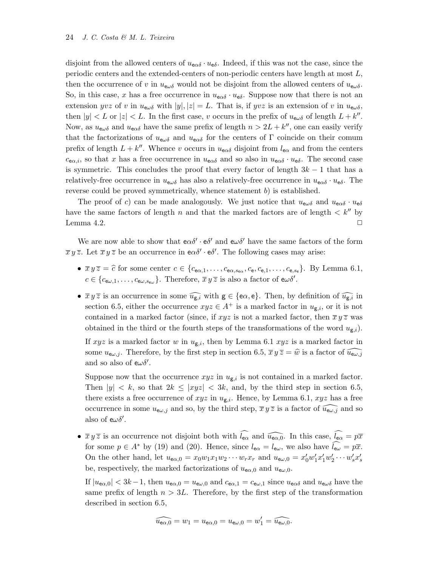disjoint from the allowed centers of  $u_{\epsilon\alpha\delta} \cdot u_{\epsilon\delta}$ . Indeed, if this was not the case, since the periodic centers and the extended-centers of non-periodic centers have length at most  $L$ , then the occurrence of v in  $u_{e\omega\delta}$  would not be disjoint from the allowed centers of  $u_{e\omega\delta}$ . So, in this case, x has a free occurrence in  $u_{\epsilon\alpha\delta} \cdot u_{\epsilon\delta}$ . Suppose now that there is not an extension yvz of v in  $u_{e\omega\delta}$  with  $|y|, |z| = L$ . That is, if yvz is an extension of v in  $u_{e\omega\delta}$ , then  $|y| < L$  or  $|z| < L$ . In the first case, v occurs in the prefix of  $u_{e\omega\delta}$  of length  $L + k''$ . Now, as  $u_{\mathbf{e}\omega\delta}$  and  $u_{\mathbf{e}\alpha\delta}$  have the same prefix of length  $n > 2L + k''$ , one can easily verify that the factorizations of  $u_{\mathbf{e}\omega\delta}$  and  $u_{\mathbf{e}\alpha\delta}$  for the centers of Γ coincide on their comum prefix of length  $L + k''$ . Whence v occurs in  $u_{\epsilon \alpha \delta}$  disjoint from  $l_{\epsilon \alpha}$  and from the centers  $c_{\mathbf{e}\alpha,i}$ , so that x has a free occurrence in  $u_{\mathbf{e}\alpha\delta}$  and so also in  $u_{\mathbf{e}\alpha\delta} \cdot u_{\mathbf{e}\delta}$ . The second case is symmetric. This concludes the proof that every factor of length  $3k - 1$  that has a relatively-free occurrence in  $u_{\mathbf{e}\omega\delta}$  has also a relatively-free occurrence in  $u_{\mathbf{e}\alpha\delta} \cdot u_{\mathbf{e}\delta}$ . The reverse could be proved symmetrically, whence statement  $b$ ) is established.

The proof of c) can be made analogously. We just notice that  $u_{e\omega\delta}$  and  $u_{e\alpha\delta} \cdot u_{e\delta}$ have the same factors of length n and that the marked factors are of length  $\langle k^{\prime\prime}$  by Lemma 4.2.  $\Box$ 

We are now able to show that  $e\alpha\delta' \cdot e\delta'$  and  $e\alpha\delta'$  have the same factors of the form  $\overline{x} y \overline{z}$ . Let  $\overline{x} y \overline{z}$  be an occurrence in  $e \alpha \delta' \cdot e \delta'$ . The following cases may arise:

- $\overline{x} y \overline{z} = \widehat{c}$  for some center  $c \in \{c_{\mathbf{e}\alpha,1}, \ldots, c_{\mathbf{e}\alpha, s_{\mathbf{e}\alpha}}, c_{\mathbf{e}}, c_{\mathbf{e},1}, \ldots, c_{\mathbf{e},s_{\mathbf{e}}}\}.$  By Lemma 6.1,  $c \in \{c_{\mathsf{ew},1},\ldots,c_{\mathsf{ew},s_{\mathsf{ew}}}\}.$  Therefore,  $\overline{x} y \overline{z}$  is also a factor of  $\mathsf{ew}\delta'.$
- $\overline{x} y \overline{z}$  is an occurrence in some  $\widehat{u_{g,i}}$  with  $g \in {\lbrace e \alpha, e \rbrace}$ . Then, by definition of  $\widehat{u_{g,i}}$  in section 6.5, either the occurrence  $xyz \in A^+$  is a marked factor in  $u_{g,i}$ , or it is not contained in a marked factor (since, if  $xyz$  is not a marked factor, then  $\overline{x}y\overline{z}$  was obtained in the third or the fourth steps of the transformations of the word  $u_{\mathbf{g},i}$ ).

If xyz is a marked factor w in  $u_{g,i}$ , then by Lemma 6.1 xyz is a marked factor in some  $u_{e\omega,j}$ . Therefore, by the first step in section 6.5,  $\overline{x} y \overline{z} = \hat{w}$  is a factor of  $\widetilde{u_{e\omega,j}}$ and so also of  $e\omega\delta'$ .

Suppose now that the occurrence  $xyz$  in  $u_{g,i}$  is not contained in a marked factor. Then  $|y| < k$ , so that  $2k \le |xyz| < 3k$ , and, by the third step in section 6.5, there exists a free occurrence of  $xyz$  in  $u_{\text{g},i}$ . Hence, by Lemma 6.1,  $xyz$  has a free occurrence in some  $u_{\epsilon\omega,j}$  and so, by the third step,  $\overline{x} y \overline{z}$  is a factor of  $\widehat{u_{\epsilon\omega,j}}$  and so also of  $e\omega\delta'$ .

•  $\overline{x} y \overline{z}$  is an occurrence not disjoint both with  $\widehat{l_{\mathbf{e}\alpha}}$  and  $\widehat{u_{\mathbf{e}\alpha,0}}$ . In this case,  $\widehat{l_{\mathbf{e}\alpha}} = p\overline{x}$ for some  $p \in A^*$  by (19) and (20). Hence, since  $l_{\mathsf{e}\alpha} = l_{\mathsf{e}\omega}$ , we also have  $l_{\mathsf{e}\omega} = p\bar{x}$ . On the other hand, let  $u_{\mathbf{e}\alpha,0} = x_0w_1x_1w_2\cdots w_rx_r$  and  $u_{\mathbf{e}\omega,0} = x'_0w'_1x'_1w'_2\cdots w'_sx'_s$ be, respectively, the marked factorizations of  $u_{\mathsf{e}\alpha,0}$  and  $u_{\mathsf{e}\omega,0}$ .

If  $|u_{\mathbf{e}\alpha,0}| < 3k-1$ , then  $u_{\mathbf{e}\alpha,0} = u_{\mathbf{e}\omega,0}$  and  $c_{\mathbf{e}\alpha,1} = c_{\mathbf{e}\omega,1}$  since  $u_{\mathbf{e}\alpha\delta}$  and  $u_{\mathbf{e}\omega\delta}$  have the same prefix of length  $n > 3L$ . Therefore, by the first step of the transformation described in section 6.5,

$$
\widehat{u_{\mathsf{e}\alpha,0}} = w_1 = u_{\mathsf{e}\alpha,0} = u_{\mathsf{e}\omega,0} = w_1' = \widehat{u_{\mathsf{e}\omega,0}}.
$$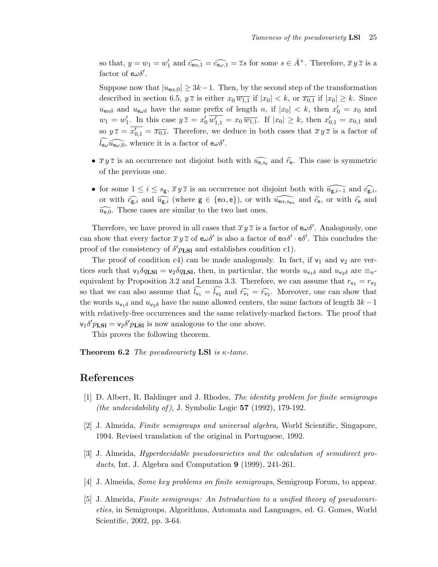so that,  $y = w_1 = w'_1$  and  $\widehat{c_{\mathbf{e}\alpha,1}} = \widehat{c_{\mathbf{e}\omega,1}} = \overline{z}s$  for some  $s \in \overline{A}^+$ . Therefore,  $\overline{x} y \overline{z}$  is a factor of  $e\omega\delta'$ .

Suppose now that  $|u_{\mathbf{e}\alpha,0}| \geq 3k-1$ . Then, by the second step of the transformation described in section 6.5,  $y\overline{z}$  is either  $x_0 \overline{w_{1,1}}$  if  $|x_0| < k$ , or  $\overline{x_{0,1}}$  if  $|x_0| \geq k$ . Since  $u_{\infty}$  and  $u_{\infty}$  have the same prefix of length n, if  $|x_0| < k$ , then  $x'_0 = x_0$  and  $w_1 = w'_1$ . In this case  $y \overline{z} = x'_0 \overline{w'_{1,1}} = x_0 \overline{w_{1,1}}$ . If  $|x_0| \geq k$ , then  $x'_{0,1} = x_{0,1}$  and so  $y\overline{z} = \overline{x_{0,1}} = \overline{x_{0,1}}$ . Therefore, we deduce in both cases that  $\overline{x} y \overline{z}$  is a factor of  $\widehat{l_{\mathsf{ew}}\mathcal{u}_{\mathsf{ew}},0}$ , whence it is a factor of  $\mathsf{ew}\delta'.$ 

- $\bar{x} y \bar{z}$  is an occurrence not disjoint both with  $\widehat{u_{e,s_e}}$  and  $\widehat{r}_{e}$ . This case is symmetric of the previous one.
- for some  $1 \leq i \leq s_{\mathsf{g}}, \overline{x} y \overline{z}$  is an occurrence not disjoint both with  $\widehat{u_{\mathsf{g},i-1}}$  and  $\widehat{c_{\mathsf{g},i}}$ , or with  $\widehat{c_{g,i}}$  and  $\widehat{u_{g,i}}$  (where  $g \in \{\infty, \infty\}$ ), or with  $\widehat{u_{\in \alpha, s_{\infty}}}$  and  $\widehat{c_{e}}$ , or with  $\widehat{c_{e}}$  and  $\widehat{u_{e,0}}$ . These cases are similar to the two last ones.

Therefore, we have proved in all cases that  $\bar{x} y \bar{z}$  is a factor of  $e\omega\delta'$ . Analogously, one can show that every factor  $\overline{x} y \overline{z}$  of  $e\omega\delta'$  is also a factor of  $e\alpha\delta' \cdot e\delta'$ . This concludes the proof of the consistency of  $\delta' p_{LSl}$  and establishes condition c1).

The proof of condition c4) can be made analogously. In fact, if  $v_1$  and  $v_2$  are vertices such that  $v_1 \delta q_{\text{LSI}} = v_2 \delta q_{\text{LSI}}$ , then, in particular, the words  $u_{v_1 \delta}$  and  $u_{v_2 \delta}$  are  $\equiv_n$ equivalent by Proposition 3.2 and Lemma 3.3. Therefore, we can assume that  $r_{v_1} = r_{v_2}$ so that we can also assume that  $\widehat{l_{v_1}} = \widehat{l_{v_2}}$  and  $\widehat{r_{v_1}} = \widehat{r_{v_2}}$ . Moreover, one can show that the words  $u_{\nu_1\delta}$  and  $u_{\nu_2\delta}$  have the same allowed centers, the same factors of length  $3k-1$ with relatively-free occurrences and the same relatively-marked factors. The proof that  $v_1 \delta' p_{LSl} = v_2 \delta' p_{LSl}$  is now analogous to the one above.

This proves the following theorem.

**Theorem 6.2** The pseudovariety LSI is  $\kappa$ -tame.

## References

- [1] D. Albert, R. Baldinger and J. Rhodes, The identity problem for finite semigroups *(the undecidability of)*, J. Symbolic Logic  $57$  (1992), 179-192.
- [2] J. Almeida, Finite semigroups and universal algebra, World Scientific, Singapore, 1994. Revised translation of the original in Portuguese, 1992.
- [3] J. Almeida, Hyperdecidable pseudovarieties and the calculation of semidirect products, Int. J. Algebra and Computation 9 (1999), 241-261.
- [4] J. Almeida, Some key problems on finite semigroups, Semigroup Forum, to appear.
- [5] J. Almeida, Finite semigroups: An Introduction to a unified theory of pseudovarieties, in Semigroups, Algorithms, Automata and Languages, ed. G. Gomes, World Scientific, 2002, pp. 3-64.